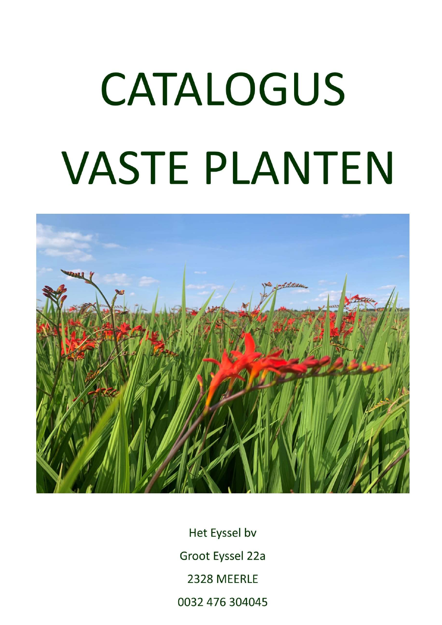## CATALOGUS **VASTE PLANTEN**



Het Eyssel bv Groot Eyssel 22a 2328 MEERLE 0032 476 304045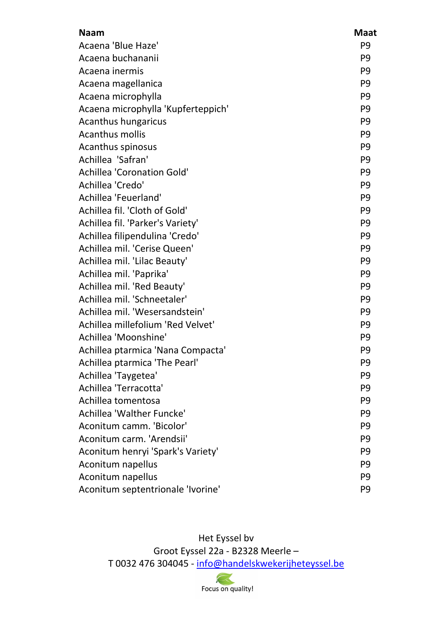| <b>Naam</b>                        | <b>Maat</b>    |
|------------------------------------|----------------|
| Acaena 'Blue Haze'                 | P <sub>9</sub> |
| Acaena buchananii                  | P <sub>9</sub> |
| Acaena inermis                     | P <sub>9</sub> |
| Acaena magellanica                 | P <sub>9</sub> |
| Acaena microphylla                 | P <sub>9</sub> |
| Acaena microphylla 'Kupferteppich' | P <sub>9</sub> |
| Acanthus hungaricus                | P <sub>9</sub> |
| <b>Acanthus mollis</b>             | P <sub>9</sub> |
| Acanthus spinosus                  | P <sub>9</sub> |
| Achillea 'Safran'                  | P <sub>9</sub> |
| <b>Achillea 'Coronation Gold'</b>  | P <sub>9</sub> |
| Achillea 'Credo'                   | P <sub>9</sub> |
| Achillea 'Feuerland'               | P <sub>9</sub> |
| Achillea fil. 'Cloth of Gold'      | P <sub>9</sub> |
| Achillea fil. 'Parker's Variety'   | P <sub>9</sub> |
| Achillea filipendulina 'Credo'     | P <sub>9</sub> |
| Achillea mil. 'Cerise Queen'       | P <sub>9</sub> |
| Achillea mil. 'Lilac Beauty'       | P <sub>9</sub> |
| Achillea mil. 'Paprika'            | P <sub>9</sub> |
| Achillea mil. 'Red Beauty'         | P <sub>9</sub> |
| Achillea mil. 'Schneetaler'        | P <sub>9</sub> |
| Achillea mil. 'Wesersandstein'     | P <sub>9</sub> |
| Achillea millefolium 'Red Velvet'  | P <sub>9</sub> |
| Achillea 'Moonshine'               | P <sub>9</sub> |
| Achillea ptarmica 'Nana Compacta'  | P <sub>9</sub> |
| Achillea ptarmica 'The Pearl'      | P <sub>9</sub> |
| Achillea 'Taygetea'                | P <sub>9</sub> |
| Achillea 'Terracotta'              | P <sub>9</sub> |
| Achillea tomentosa                 | P <sub>9</sub> |
| Achillea 'Walther Funcke'          | P <sub>9</sub> |
| Aconitum camm. 'Bicolor'           | P <sub>9</sub> |
| Aconitum carm. 'Arendsii'          | P <sub>9</sub> |
| Aconitum henryi 'Spark's Variety'  | P <sub>9</sub> |
| Aconitum napellus                  | P <sub>9</sub> |
| Aconitum napellus                  | P <sub>9</sub> |
| Aconitum septentrionale 'Ivorine'  | P <sub>9</sub> |

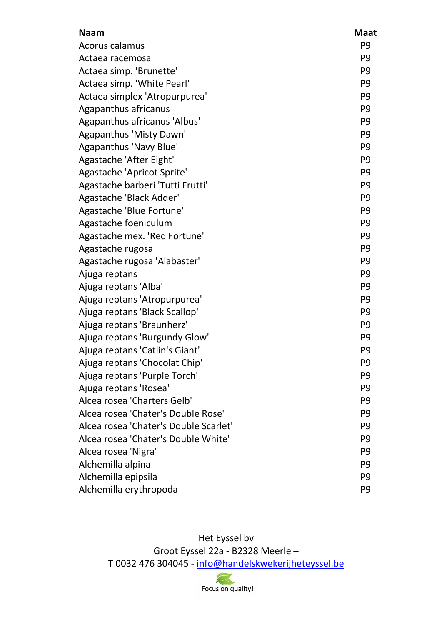| <b>Naam</b>                           | <b>Maat</b>    |
|---------------------------------------|----------------|
| Acorus calamus                        | P <sub>9</sub> |
| Actaea racemosa                       | P <sub>9</sub> |
| Actaea simp. 'Brunette'               | P <sub>9</sub> |
| Actaea simp. 'White Pearl'            | P <sub>9</sub> |
| Actaea simplex 'Atropurpurea'         | P <sub>9</sub> |
| Agapanthus africanus                  | P <sub>9</sub> |
| Agapanthus africanus 'Albus'          | P <sub>9</sub> |
| Agapanthus 'Misty Dawn'               | P <sub>9</sub> |
| Agapanthus 'Navy Blue'                | P <sub>9</sub> |
| Agastache 'After Eight'               | P <sub>9</sub> |
| Agastache 'Apricot Sprite'            | P <sub>9</sub> |
| Agastache barberi 'Tutti Frutti'      | P <sub>9</sub> |
| Agastache 'Black Adder'               | P <sub>9</sub> |
| Agastache 'Blue Fortune'              | P <sub>9</sub> |
| Agastache foeniculum                  | P <sub>9</sub> |
| Agastache mex. 'Red Fortune'          | P <sub>9</sub> |
| Agastache rugosa                      | P <sub>9</sub> |
| Agastache rugosa 'Alabaster'          | P <sub>9</sub> |
| Ajuga reptans                         | P <sub>9</sub> |
| Ajuga reptans 'Alba'                  | P <sub>9</sub> |
| Ajuga reptans 'Atropurpurea'          | P <sub>9</sub> |
| Ajuga reptans 'Black Scallop'         | P <sub>9</sub> |
| Ajuga reptans 'Braunherz'             | P <sub>9</sub> |
| Ajuga reptans 'Burgundy Glow'         | P <sub>9</sub> |
| Ajuga reptans 'Catlin's Giant'        | P <sub>9</sub> |
| Ajuga reptans 'Chocolat Chip'         | P9             |
| Ajuga reptans 'Purple Torch'          | P <sub>9</sub> |
| Ajuga reptans 'Rosea'                 | P <sub>9</sub> |
| Alcea rosea 'Charters Gelb'           | P <sub>9</sub> |
| Alcea rosea 'Chater's Double Rose'    | P <sub>9</sub> |
| Alcea rosea 'Chater's Double Scarlet' | P <sub>9</sub> |
| Alcea rosea 'Chater's Double White'   | P <sub>9</sub> |
| Alcea rosea 'Nigra'                   | P <sub>9</sub> |
| Alchemilla alpina                     | P <sub>9</sub> |
| Alchemilla epipsila                   | P <sub>9</sub> |
| Alchemilla erythropoda                | P <sub>9</sub> |

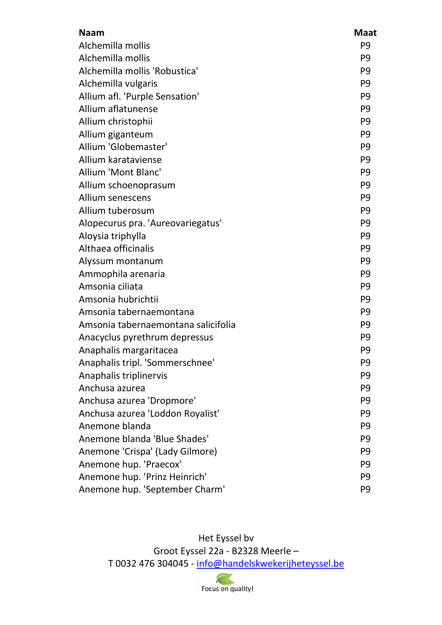| <b>Naam</b>                         | <b>Maat</b>    |
|-------------------------------------|----------------|
| Alchemilla mollis                   | P <sub>9</sub> |
| Alchemilla mollis                   | P <sub>9</sub> |
| Alchemilla mollis 'Robustica'       | P <sub>9</sub> |
| Alchemilla vulgaris                 | P <sub>9</sub> |
| Allium afl. 'Purple Sensation'      | P <sub>9</sub> |
| Allium aflatunense                  | P <sub>9</sub> |
| Allium christophii                  | P <sub>9</sub> |
| Allium giganteum                    | P <sub>9</sub> |
| Allium 'Globemaster'                | P <sub>9</sub> |
| Allium karataviense                 | P <sub>9</sub> |
| <b>Allium 'Mont Blanc'</b>          | P <sub>9</sub> |
| Allium schoenoprasum                | P <sub>9</sub> |
| Allium senescens                    | P <sub>9</sub> |
| Allium tuberosum                    | P <sub>9</sub> |
| Alopecurus pra. 'Aureovariegatus'   | P <sub>9</sub> |
| Aloysia triphylla                   | P <sub>9</sub> |
| Althaea officinalis                 | P <sub>9</sub> |
| Alyssum montanum                    | P <sub>9</sub> |
| Ammophila arenaria                  | P <sub>9</sub> |
| Amsonia ciliata                     | P <sub>9</sub> |
| Amsonia hubrichtii                  | P <sub>9</sub> |
| Amsonia tabernaemontana             | P <sub>9</sub> |
| Amsonia tabernaemontana salicifolia | P <sub>9</sub> |
| Anacyclus pyrethrum depressus       | P <sub>9</sub> |
| Anaphalis margaritacea              | P <sub>9</sub> |
| Anaphalis tripl. 'Sommerschnee'     | P <sub>9</sub> |
| Anaphalis triplinervis              | P <sub>9</sub> |
| Anchusa azurea                      | P <sub>9</sub> |
| Anchusa azurea 'Dropmore'           | P <sub>9</sub> |
| Anchusa azurea 'Loddon Royalist'    | P <sub>9</sub> |
| Anemone blanda                      | P <sub>9</sub> |
| Anemone blanda 'Blue Shades'        | P <sub>9</sub> |
| Anemone 'Crispa' (Lady Gilmore)     | P <sub>9</sub> |
| Anemone hup. 'Praecox'              | P <sub>9</sub> |
| Anemone hup. 'Prinz Heinrich'       | P <sub>9</sub> |
| Anemone hup. 'September Charm'      | P <sub>9</sub> |

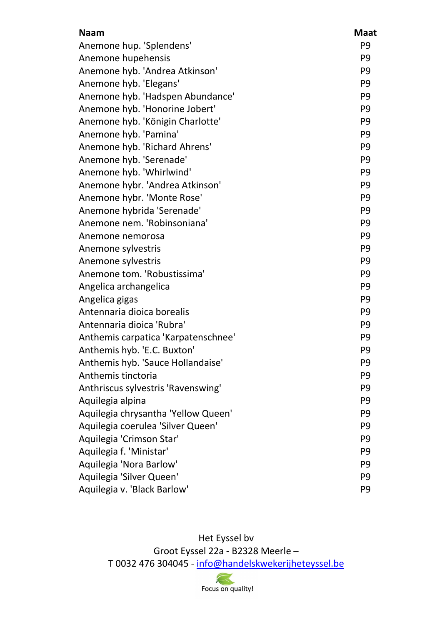| <b>Naam</b>                         | <b>Maat</b>    |
|-------------------------------------|----------------|
| Anemone hup. 'Splendens'            | P <sub>9</sub> |
| Anemone hupehensis                  | P <sub>9</sub> |
| Anemone hyb. 'Andrea Atkinson'      | P <sub>9</sub> |
| Anemone hyb. 'Elegans'              | P <sub>9</sub> |
| Anemone hyb. 'Hadspen Abundance'    | P <sub>9</sub> |
| Anemone hyb. 'Honorine Jobert'      | P <sub>9</sub> |
| Anemone hyb. 'Königin Charlotte'    | P <sub>9</sub> |
| Anemone hyb. 'Pamina'               | P <sub>9</sub> |
| Anemone hyb. 'Richard Ahrens'       | P <sub>9</sub> |
| Anemone hyb. 'Serenade'             | P <sub>9</sub> |
| Anemone hyb. 'Whirlwind'            | P <sub>9</sub> |
| Anemone hybr. 'Andrea Atkinson'     | P <sub>9</sub> |
| Anemone hybr. 'Monte Rose'          | P <sub>9</sub> |
| Anemone hybrida 'Serenade'          | P <sub>9</sub> |
| Anemone nem. 'Robinsoniana'         | P <sub>9</sub> |
| Anemone nemorosa                    | P <sub>9</sub> |
| Anemone sylvestris                  | P <sub>9</sub> |
| Anemone sylvestris                  | P <sub>9</sub> |
| Anemone tom. 'Robustissima'         | P <sub>9</sub> |
| Angelica archangelica               | P <sub>9</sub> |
| Angelica gigas                      | P <sub>9</sub> |
| Antennaria dioica borealis          | P <sub>9</sub> |
| Antennaria dioica 'Rubra'           | P <sub>9</sub> |
| Anthemis carpatica 'Karpatenschnee' | P <sub>9</sub> |
| Anthemis hyb. 'E.C. Buxton'         | P <sub>9</sub> |
| Anthemis hyb. 'Sauce Hollandaise'   | P <sub>9</sub> |
| Anthemis tinctoria                  | P <sub>9</sub> |
| Anthriscus sylvestris 'Ravenswing'  | P <sub>9</sub> |
| Aquilegia alpina                    | P <sub>9</sub> |
| Aquilegia chrysantha 'Yellow Queen' | P <sub>9</sub> |
| Aquilegia coerulea 'Silver Queen'   | P <sub>9</sub> |
| Aquilegia 'Crimson Star'            | P <sub>9</sub> |
| Aquilegia f. 'Ministar'             | P <sub>9</sub> |
| Aquilegia 'Nora Barlow'             | P <sub>9</sub> |
| Aquilegia 'Silver Queen'            | P <sub>9</sub> |
| Aquilegia v. 'Black Barlow'         | P <sub>9</sub> |

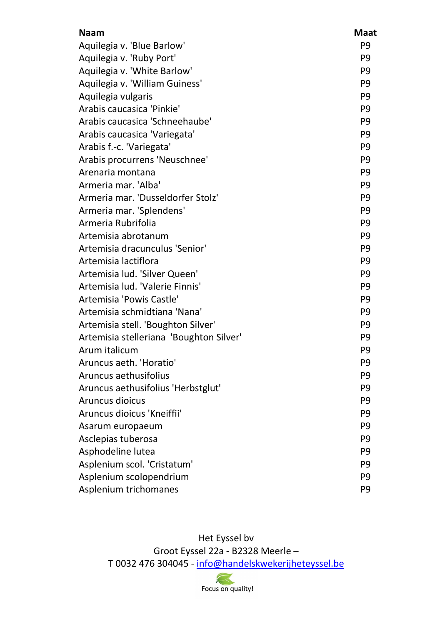| <b>Naam</b>                             | <b>Maat</b>    |
|-----------------------------------------|----------------|
| Aquilegia v. 'Blue Barlow'              | P <sub>9</sub> |
| Aquilegia v. 'Ruby Port'                | P <sub>9</sub> |
| Aquilegia v. 'White Barlow'             | P <sub>9</sub> |
| Aquilegia v. 'William Guiness'          | P <sub>9</sub> |
| Aquilegia vulgaris                      | P <sub>9</sub> |
| Arabis caucasica 'Pinkie'               | P <sub>9</sub> |
| Arabis caucasica 'Schneehaube'          | P <sub>9</sub> |
| Arabis caucasica 'Variegata'            | P <sub>9</sub> |
| Arabis f.-c. 'Variegata'                | P <sub>9</sub> |
| Arabis procurrens 'Neuschnee'           | P <sub>9</sub> |
| Arenaria montana                        | P <sub>9</sub> |
| Armeria mar. 'Alba'                     | P <sub>9</sub> |
| Armeria mar. 'Dusseldorfer Stolz'       | P <sub>9</sub> |
| Armeria mar. 'Splendens'                | P <sub>9</sub> |
| Armeria Rubrifolia                      | P <sub>9</sub> |
| Artemisia abrotanum                     | P <sub>9</sub> |
| Artemisia dracunculus 'Senior'          | P <sub>9</sub> |
| Artemisia lactiflora                    | P <sub>9</sub> |
| Artemisia lud. 'Silver Queen'           | P <sub>9</sub> |
| Artemisia lud. 'Valerie Finnis'         | P <sub>9</sub> |
| Artemisia 'Powis Castle'                | P <sub>9</sub> |
| Artemisia schmidtiana 'Nana'            | P <sub>9</sub> |
| Artemisia stell. 'Boughton Silver'      | P <sub>9</sub> |
| Artemisia stelleriana 'Boughton Silver' | P <sub>9</sub> |
| Arum italicum                           | P <sub>9</sub> |
| Aruncus aeth. 'Horatio'                 | P <sub>9</sub> |
| Aruncus aethusifolius                   | P <sub>9</sub> |
| Aruncus aethusifolius 'Herbstglut'      | P <sub>9</sub> |
| Aruncus dioicus                         | P <sub>9</sub> |
| Aruncus dioicus 'Kneiffii'              | P <sub>9</sub> |
| Asarum europaeum                        | P <sub>9</sub> |
| Asclepias tuberosa                      | P <sub>9</sub> |
| Asphodeline lutea                       | P <sub>9</sub> |
| Asplenium scol. 'Cristatum'             | P <sub>9</sub> |
| Asplenium scolopendrium                 | P <sub>9</sub> |
| Asplenium trichomanes                   | P <sub>9</sub> |

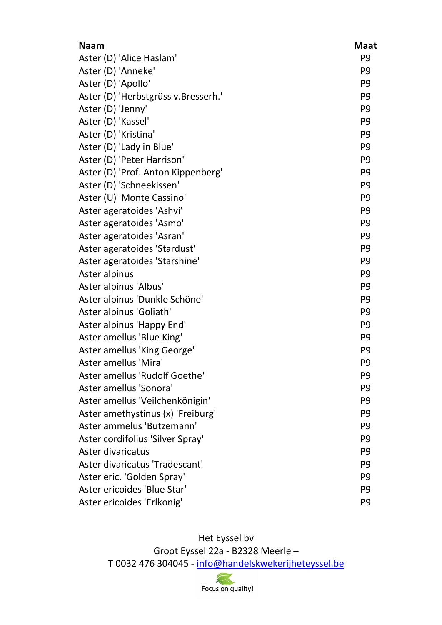| <b>Naam</b>                         | <b>Maat</b>    |
|-------------------------------------|----------------|
| Aster (D) 'Alice Haslam'            | P <sub>9</sub> |
| Aster (D) 'Anneke'                  | P <sub>9</sub> |
| Aster (D) 'Apollo'                  | P <sub>9</sub> |
| Aster (D) 'Herbstgrüss v.Bresserh.' | P <sub>9</sub> |
| Aster (D) 'Jenny'                   | P <sub>9</sub> |
| Aster (D) 'Kassel'                  | P <sub>9</sub> |
| Aster (D) 'Kristina'                | P <sub>9</sub> |
| Aster (D) 'Lady in Blue'            | P <sub>9</sub> |
| Aster (D) 'Peter Harrison'          | P <sub>9</sub> |
| Aster (D) 'Prof. Anton Kippenberg'  | P <sub>9</sub> |
| Aster (D) 'Schneekissen'            | P <sub>9</sub> |
| Aster (U) 'Monte Cassino'           | P <sub>9</sub> |
| Aster ageratoides 'Ashvi'           | P <sub>9</sub> |
| Aster ageratoides 'Asmo'            | P <sub>9</sub> |
| Aster ageratoides 'Asran'           | P <sub>9</sub> |
| Aster ageratoides 'Stardust'        | P <sub>9</sub> |
| Aster ageratoides 'Starshine'       | P <sub>9</sub> |
| Aster alpinus                       | P <sub>9</sub> |
| Aster alpinus 'Albus'               | P <sub>9</sub> |
| Aster alpinus 'Dunkle Schöne'       | P <sub>9</sub> |
| Aster alpinus 'Goliath'             | P <sub>9</sub> |
| Aster alpinus 'Happy End'           | P <sub>9</sub> |
| Aster amellus 'Blue King'           | P <sub>9</sub> |
| Aster amellus 'King George'         | P <sub>9</sub> |
| Aster amellus 'Mira'                | P <sub>9</sub> |
| Aster amellus 'Rudolf Goethe'       | P <sub>9</sub> |
| Aster amellus 'Sonora'              | P <sub>9</sub> |
| Aster amellus 'Veilchenkönigin'     | P <sub>9</sub> |
| Aster amethystinus (x) 'Freiburg'   | P <sub>9</sub> |
| Aster ammelus 'Butzemann'           | P <sub>9</sub> |
| Aster cordifolius 'Silver Spray'    | P <sub>9</sub> |
| Aster divaricatus                   | P <sub>9</sub> |
| Aster divaricatus 'Tradescant'      | P <sub>9</sub> |
| Aster eric. 'Golden Spray'          | P <sub>9</sub> |
| Aster ericoides 'Blue Star'         | P <sub>9</sub> |
| Aster ericoides 'Erlkonig'          | P <sub>9</sub> |

Het Eyssel bv

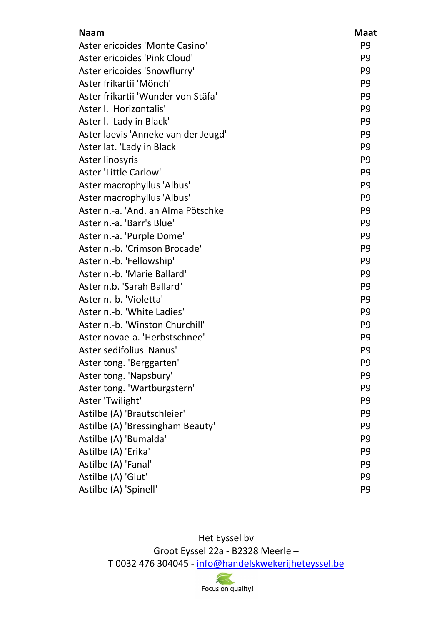| <b>Naam</b>                         | <b>Maat</b>    |
|-------------------------------------|----------------|
| Aster ericoides 'Monte Casino'      | P <sub>9</sub> |
| Aster ericoides 'Pink Cloud'        | P <sub>9</sub> |
| Aster ericoides 'Snowflurry'        | P <sub>9</sub> |
| Aster frikartii 'Mönch'             | P <sub>9</sub> |
| Aster frikartii 'Wunder von Stäfa'  | P <sub>9</sub> |
| Aster I. 'Horizontalis'             | P <sub>9</sub> |
| Aster I. 'Lady in Black'            | P <sub>9</sub> |
| Aster laevis 'Anneke van der Jeugd' | P <sub>9</sub> |
| Aster lat. 'Lady in Black'          | P <sub>9</sub> |
| Aster linosyris                     | P <sub>9</sub> |
| Aster 'Little Carlow'               | P <sub>9</sub> |
| Aster macrophyllus 'Albus'          | P <sub>9</sub> |
| Aster macrophyllus 'Albus'          | P <sub>9</sub> |
| Aster n.-a. 'And. an Alma Pötschke' | P <sub>9</sub> |
| Aster n.-a. 'Barr's Blue'           | P <sub>9</sub> |
| Aster n.-a. 'Purple Dome'           | P <sub>9</sub> |
| Aster n.-b. 'Crimson Brocade'       | P <sub>9</sub> |
| Aster n.-b. 'Fellowship'            | P <sub>9</sub> |
| Aster n.-b. 'Marie Ballard'         | P <sub>9</sub> |
| Aster n.b. 'Sarah Ballard'          | P <sub>9</sub> |
| Aster n.-b. 'Violetta'              | P <sub>9</sub> |
| Aster n.-b. 'White Ladies'          | P <sub>9</sub> |
| Aster n.-b. 'Winston Churchill'     | P <sub>9</sub> |
| Aster novae-a. 'Herbstschnee'       | P <sub>9</sub> |
| Aster sedifolius 'Nanus'            | P <sub>9</sub> |
| Aster tong. 'Berggarten'            | P9             |
| Aster tong. 'Napsbury'              | P <sub>9</sub> |
| Aster tong. 'Wartburgstern'         | P <sub>9</sub> |
| Aster 'Twilight'                    | P <sub>9</sub> |
| Astilbe (A) 'Brautschleier'         | P <sub>9</sub> |
| Astilbe (A) 'Bressingham Beauty'    | P <sub>9</sub> |
| Astilbe (A) 'Bumalda'               | P <sub>9</sub> |
| Astilbe (A) 'Erika'                 | P <sub>9</sub> |
| Astilbe (A) 'Fanal'                 | P <sub>9</sub> |
| Astilbe (A) 'Glut'                  | P <sub>9</sub> |
| Astilbe (A) 'Spinell'               | P <sub>9</sub> |

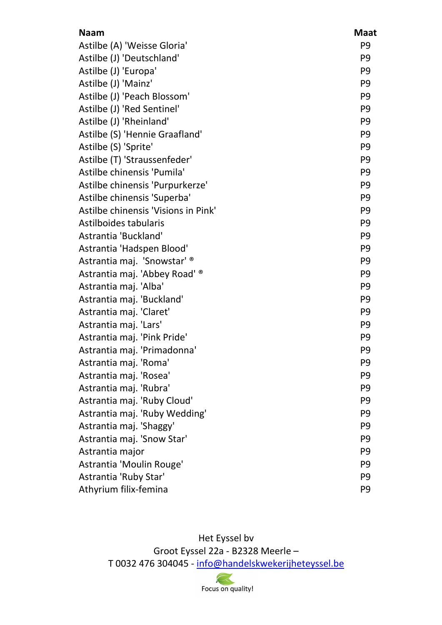| <b>Naam</b>                         | <b>Maat</b>    |
|-------------------------------------|----------------|
| Astilbe (A) 'Weisse Gloria'         | P <sub>9</sub> |
| Astilbe (J) 'Deutschland'           | P <sub>9</sub> |
| Astilbe (J) 'Europa'                | P <sub>9</sub> |
| Astilbe (J) 'Mainz'                 | P <sub>9</sub> |
| Astilbe (J) 'Peach Blossom'         | P <sub>9</sub> |
| Astilbe (J) 'Red Sentinel'          | P <sub>9</sub> |
| Astilbe (J) 'Rheinland'             | P <sub>9</sub> |
| Astilbe (S) 'Hennie Graafland'      | P <sub>9</sub> |
| Astilbe (S) 'Sprite'                | P <sub>9</sub> |
| Astilbe (T) 'Straussenfeder'        | P <sub>9</sub> |
| Astilbe chinensis 'Pumila'          | P <sub>9</sub> |
| Astilbe chinensis 'Purpurkerze'     | P <sub>9</sub> |
| Astilbe chinensis 'Superba'         | P <sub>9</sub> |
| Astilbe chinensis 'Visions in Pink' | P <sub>9</sub> |
| Astilboides tabularis               | P <sub>9</sub> |
| Astrantia 'Buckland'                | P <sub>9</sub> |
| Astrantia 'Hadspen Blood'           | P <sub>9</sub> |
| Astrantia maj. 'Snowstar' ®         | P <sub>9</sub> |
| Astrantia maj. 'Abbey Road' ®       | P <sub>9</sub> |
| Astrantia maj. 'Alba'               | P <sub>9</sub> |
| Astrantia maj. 'Buckland'           | P <sub>9</sub> |
| Astrantia maj. 'Claret'             | P <sub>9</sub> |
| Astrantia maj. 'Lars'               | P <sub>9</sub> |
| Astrantia maj. 'Pink Pride'         | P <sub>9</sub> |
| Astrantia maj. 'Primadonna'         | P <sub>9</sub> |
| Astrantia maj. 'Roma'               | P <sub>9</sub> |
| Astrantia maj. 'Rosea'              | P <sub>9</sub> |
| Astrantia maj. 'Rubra'              | P <sub>9</sub> |
| Astrantia maj. 'Ruby Cloud'         | P <sub>9</sub> |
| Astrantia maj. 'Ruby Wedding'       | P <sub>9</sub> |
| Astrantia maj. 'Shaggy'             | P <sub>9</sub> |
| Astrantia maj. 'Snow Star'          | P <sub>9</sub> |
| Astrantia major                     | P <sub>9</sub> |
| Astrantia 'Moulin Rouge'            | P <sub>9</sub> |
| Astrantia 'Ruby Star'               | P <sub>9</sub> |
| Athyrium filix-femina               | P <sub>9</sub> |

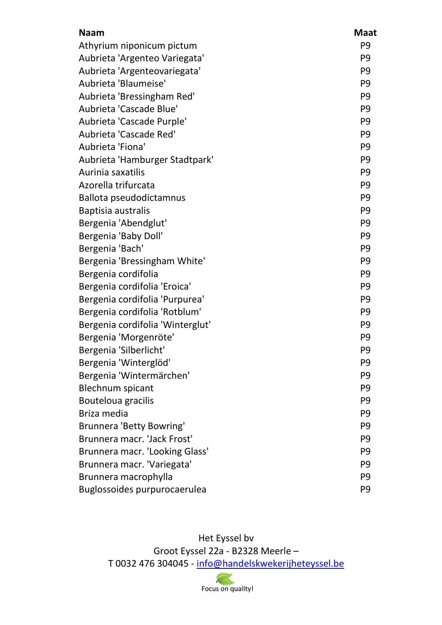| <b>Naam</b>                      | <b>Maat</b>    |
|----------------------------------|----------------|
| Athyrium niponicum pictum        | P <sub>9</sub> |
| Aubrieta 'Argenteo Variegata'    | P <sub>9</sub> |
| Aubrieta 'Argenteovariegata'     | P <sub>9</sub> |
| Aubrieta 'Blaumeise'             | P <sub>9</sub> |
| Aubrieta 'Bressingham Red'       | P <sub>9</sub> |
| Aubrieta 'Cascade Blue'          | P <sub>9</sub> |
| Aubrieta 'Cascade Purple'        | P <sub>9</sub> |
| Aubrieta 'Cascade Red'           | P <sub>9</sub> |
| Aubrieta 'Fiona'                 | P <sub>9</sub> |
| Aubrieta 'Hamburger Stadtpark'   | P <sub>9</sub> |
| Aurinia saxatilis                | P <sub>9</sub> |
| Azorella trifurcata              | P <sub>9</sub> |
| Ballota pseudodictamnus          | P <sub>9</sub> |
| Baptisia australis               | P <sub>9</sub> |
| Bergenia 'Abendglut'             | P <sub>9</sub> |
| Bergenia 'Baby Doll'             | P <sub>9</sub> |
| Bergenia 'Bach'                  | P <sub>9</sub> |
| Bergenia 'Bressingham White'     | P <sub>9</sub> |
| Bergenia cordifolia              | P <sub>9</sub> |
| Bergenia cordifolia 'Eroica'     | P <sub>9</sub> |
| Bergenia cordifolia 'Purpurea'   | P <sub>9</sub> |
| Bergenia cordifolia 'Rotblum'    | P <sub>9</sub> |
| Bergenia cordifolia 'Winterglut' | P <sub>9</sub> |
| Bergenia 'Morgenröte'            | P <sub>9</sub> |
| Bergenia 'Silberlicht'           | P <sub>9</sub> |
| Bergenia 'Winterglöd'            | P <sub>9</sub> |
| Bergenia 'Wintermärchen'         | P <sub>9</sub> |
| <b>Blechnum spicant</b>          | P <sub>9</sub> |
| Bouteloua gracilis               | P <sub>9</sub> |
| Briza media                      | P <sub>9</sub> |
| Brunnera 'Betty Bowring'         | P <sub>9</sub> |
| Brunnera macr. 'Jack Frost'      | P <sub>9</sub> |
| Brunnera macr. 'Looking Glass'   | P <sub>9</sub> |
| Brunnera macr. 'Variegata'       | P <sub>9</sub> |
| Brunnera macrophylla             | P <sub>9</sub> |
| Buglossoides purpurocaerulea     | P <sub>9</sub> |

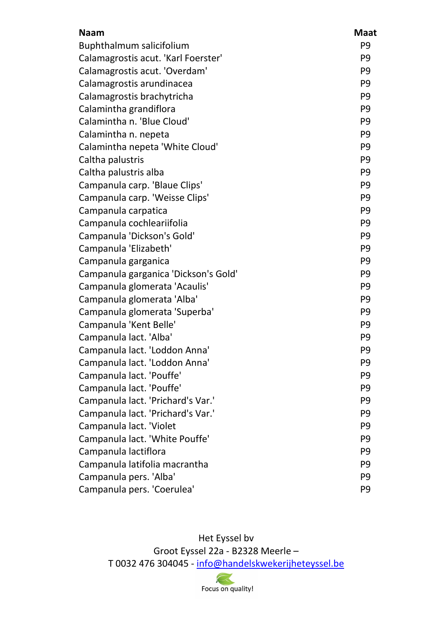| <b>Naam</b>                          | <b>Maat</b>    |
|--------------------------------------|----------------|
| Buphthalmum salicifolium             | P <sub>9</sub> |
| Calamagrostis acut. 'Karl Foerster'  | P <sub>9</sub> |
| Calamagrostis acut. 'Overdam'        | P <sub>9</sub> |
| Calamagrostis arundinacea            | P <sub>9</sub> |
| Calamagrostis brachytricha           | P <sub>9</sub> |
| Calamintha grandiflora               | P <sub>9</sub> |
| Calamintha n. 'Blue Cloud'           | P <sub>9</sub> |
| Calamintha n. nepeta                 | P <sub>9</sub> |
| Calamintha nepeta 'White Cloud'      | P <sub>9</sub> |
| Caltha palustris                     | P <sub>9</sub> |
| Caltha palustris alba                | P <sub>9</sub> |
| Campanula carp. 'Blaue Clips'        | P <sub>9</sub> |
| Campanula carp. 'Weisse Clips'       | P <sub>9</sub> |
| Campanula carpatica                  | P <sub>9</sub> |
| Campanula cochleariifolia            | P <sub>9</sub> |
| Campanula 'Dickson's Gold'           | P <sub>9</sub> |
| Campanula 'Elizabeth'                | P <sub>9</sub> |
| Campanula garganica                  | P <sub>9</sub> |
| Campanula garganica 'Dickson's Gold' | P <sub>9</sub> |
| Campanula glomerata 'Acaulis'        | P <sub>9</sub> |
| Campanula glomerata 'Alba'           | P <sub>9</sub> |
| Campanula glomerata 'Superba'        | P <sub>9</sub> |
| Campanula 'Kent Belle'               | P <sub>9</sub> |
| Campanula lact. 'Alba'               | P <sub>9</sub> |
| Campanula lact. 'Loddon Anna'        | P <sub>9</sub> |
| Campanula lact. 'Loddon Anna'        | P <sub>9</sub> |
| Campanula lact. 'Pouffe'             | P <sub>9</sub> |
| Campanula lact. 'Pouffe'             | P <sub>9</sub> |
| Campanula lact. 'Prichard's Var.'    | P <sub>9</sub> |
| Campanula lact. 'Prichard's Var.'    | P <sub>9</sub> |
| Campanula lact. 'Violet              | P <sub>9</sub> |
| Campanula lact. 'White Pouffe'       | P <sub>9</sub> |
| Campanula lactiflora                 | P <sub>9</sub> |
| Campanula latifolia macrantha        | P <sub>9</sub> |
| Campanula pers. 'Alba'               | P <sub>9</sub> |
| Campanula pers. 'Coerulea'           | P <sub>9</sub> |

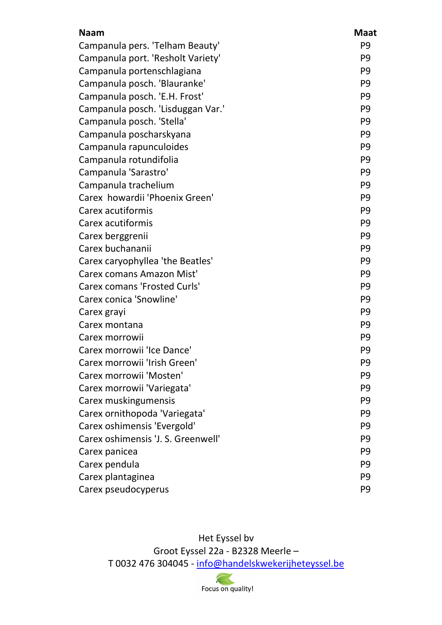| <b>Naam</b>                         | <b>Maat</b>    |
|-------------------------------------|----------------|
| Campanula pers. 'Telham Beauty'     | P <sub>9</sub> |
| Campanula port. 'Resholt Variety'   | P <sub>9</sub> |
| Campanula portenschlagiana          | P <sub>9</sub> |
| Campanula posch. 'Blauranke'        | P <sub>9</sub> |
| Campanula posch. 'E.H. Frost'       | P <sub>9</sub> |
| Campanula posch. 'Lisduggan Var.'   | P <sub>9</sub> |
| Campanula posch. 'Stella'           | P <sub>9</sub> |
| Campanula poscharskyana             | P <sub>9</sub> |
| Campanula rapunculoides             | P <sub>9</sub> |
| Campanula rotundifolia              | P <sub>9</sub> |
| Campanula 'Sarastro'                | P <sub>9</sub> |
| Campanula trachelium                | P <sub>9</sub> |
| Carex howardii 'Phoenix Green'      | P <sub>9</sub> |
| Carex acutiformis                   | P <sub>9</sub> |
| Carex acutiformis                   | P <sub>9</sub> |
| Carex berggrenii                    | P <sub>9</sub> |
| Carex buchananii                    | P <sub>9</sub> |
| Carex caryophyllea 'the Beatles'    | P <sub>9</sub> |
| Carex comans Amazon Mist'           | P <sub>9</sub> |
| <b>Carex comans 'Frosted Curls'</b> | P <sub>9</sub> |
| Carex conica 'Snowline'             | P <sub>9</sub> |
| Carex grayi                         | P <sub>9</sub> |
| Carex montana                       | P <sub>9</sub> |
| Carex morrowii                      | P <sub>9</sub> |
| Carex morrowii 'Ice Dance'          | P <sub>9</sub> |
| Carex morrowii 'Irish Green'        | P <sub>9</sub> |
| Carex morrowii 'Mosten'             | P <sub>9</sub> |
| Carex morrowii 'Variegata'          | P <sub>9</sub> |
| Carex muskingumensis                | P <sub>9</sub> |
| Carex ornithopoda 'Variegata'       | P <sub>9</sub> |
| Carex oshimensis 'Evergold'         | P <sub>9</sub> |
| Carex oshimensis 'J. S. Greenwell'  | P <sub>9</sub> |
| Carex panicea                       | P <sub>9</sub> |
| Carex pendula                       | P <sub>9</sub> |
| Carex plantaginea                   | P <sub>9</sub> |
| Carex pseudocyperus                 | P <sub>9</sub> |

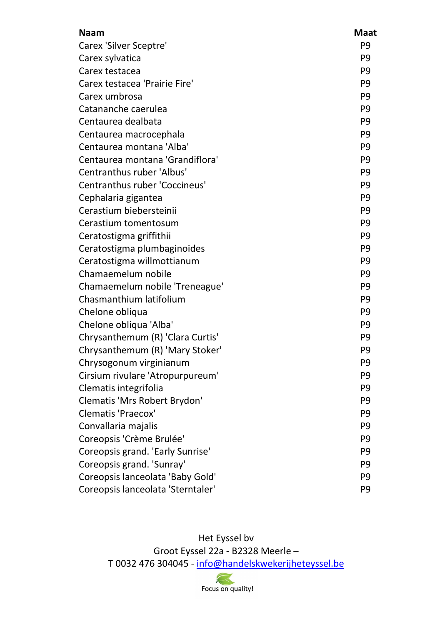| <b>Naam</b>                       | <b>Maat</b>    |
|-----------------------------------|----------------|
| <b>Carex 'Silver Sceptre'</b>     | P <sub>9</sub> |
| Carex sylvatica                   | P <sub>9</sub> |
| Carex testacea                    | P <sub>9</sub> |
| Carex testacea 'Prairie Fire'     | P <sub>9</sub> |
| Carex umbrosa                     | P <sub>9</sub> |
| Catananche caerulea               | P <sub>9</sub> |
| Centaurea dealbata                | P <sub>9</sub> |
| Centaurea macrocephala            | P <sub>9</sub> |
| Centaurea montana 'Alba'          | P <sub>9</sub> |
| Centaurea montana 'Grandiflora'   | P <sub>9</sub> |
| Centranthus ruber 'Albus'         | P <sub>9</sub> |
| Centranthus ruber 'Coccineus'     | P <sub>9</sub> |
| Cephalaria gigantea               | P <sub>9</sub> |
| Cerastium biebersteinii           | P <sub>9</sub> |
| Cerastium tomentosum              | P <sub>9</sub> |
| Ceratostigma griffithii           | P <sub>9</sub> |
| Ceratostigma plumbaginoides       | P <sub>9</sub> |
| Ceratostigma willmottianum        | P <sub>9</sub> |
| Chamaemelum nobile                | P <sub>9</sub> |
| Chamaemelum nobile 'Treneague'    | P <sub>9</sub> |
| Chasmanthium latifolium           | P <sub>9</sub> |
| Chelone obliqua                   | P <sub>9</sub> |
| Chelone obliqua 'Alba'            | P <sub>9</sub> |
| Chrysanthemum (R) 'Clara Curtis'  | P <sub>9</sub> |
| Chrysanthemum (R) 'Mary Stoker'   | P <sub>9</sub> |
| Chrysogonum virginianum           | P <sub>9</sub> |
| Cirsium rivulare 'Atropurpureum'  | P <sub>9</sub> |
| Clematis integrifolia             | P <sub>9</sub> |
| Clematis 'Mrs Robert Brydon'      | P <sub>9</sub> |
| Clematis 'Praecox'                | P <sub>9</sub> |
| Convallaria majalis               | P <sub>9</sub> |
| Coreopsis 'Crème Brulée'          | P <sub>9</sub> |
| Coreopsis grand. 'Early Sunrise'  | P <sub>9</sub> |
| Coreopsis grand. 'Sunray'         | P <sub>9</sub> |
| Coreopsis lanceolata 'Baby Gold'  | P <sub>9</sub> |
| Coreopsis lanceolata 'Sterntaler' | P <sub>9</sub> |

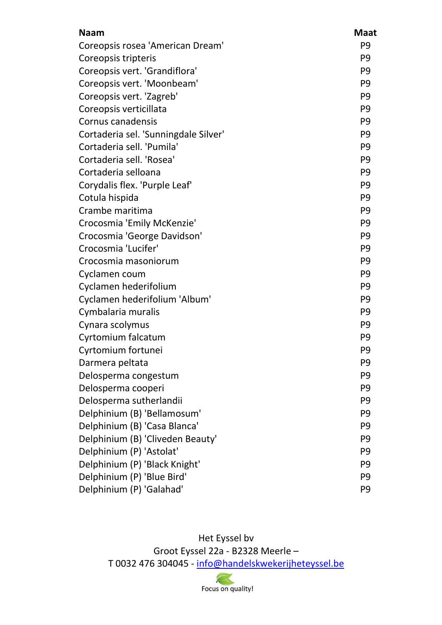| <b>Naam</b>                          | <b>Maat</b>    |
|--------------------------------------|----------------|
| Coreopsis rosea 'American Dream'     | P <sub>9</sub> |
| Coreopsis tripteris                  | P <sub>9</sub> |
| Coreopsis vert. 'Grandiflora'        | P <sub>9</sub> |
| Coreopsis vert. 'Moonbeam'           | P <sub>9</sub> |
| Coreopsis vert. 'Zagreb'             | P <sub>9</sub> |
| Coreopsis verticillata               | P <sub>9</sub> |
| Cornus canadensis                    | P <sub>9</sub> |
| Cortaderia sel. 'Sunningdale Silver' | P <sub>9</sub> |
| Cortaderia sell. 'Pumila'            | P <sub>9</sub> |
| Cortaderia sell. 'Rosea'             | P <sub>9</sub> |
| Cortaderia selloana                  | P <sub>9</sub> |
| Corydalis flex. 'Purple Leaf'        | P <sub>9</sub> |
| Cotula hispida                       | P <sub>9</sub> |
| Crambe maritima                      | P <sub>9</sub> |
| Crocosmia 'Emily McKenzie'           | P <sub>9</sub> |
| Crocosmia 'George Davidson'          | P <sub>9</sub> |
| Crocosmia 'Lucifer'                  | P <sub>9</sub> |
| Crocosmia masoniorum                 | P <sub>9</sub> |
| Cyclamen coum                        | P <sub>9</sub> |
| Cyclamen hederifolium                | P <sub>9</sub> |
| Cyclamen hederifolium 'Album'        | P <sub>9</sub> |
| Cymbalaria muralis                   | P <sub>9</sub> |
| Cynara scolymus                      | P <sub>9</sub> |
| Cyrtomium falcatum                   | P <sub>9</sub> |
| Cyrtomium fortunei                   | P <sub>9</sub> |
| Darmera peltata                      | P <sub>9</sub> |
| Delosperma congestum                 | P <sub>9</sub> |
| Delosperma cooperi                   | P <sub>9</sub> |
| Delosperma sutherlandii              | P <sub>9</sub> |
| Delphinium (B) 'Bellamosum'          | P <sub>9</sub> |
| Delphinium (B) 'Casa Blanca'         | P <sub>9</sub> |
| Delphinium (B) 'Cliveden Beauty'     | P <sub>9</sub> |
| Delphinium (P) 'Astolat'             | P <sub>9</sub> |
| Delphinium (P) 'Black Knight'        | P <sub>9</sub> |
| Delphinium (P) 'Blue Bird'           | P <sub>9</sub> |
| Delphinium (P) 'Galahad'             | P <sub>9</sub> |

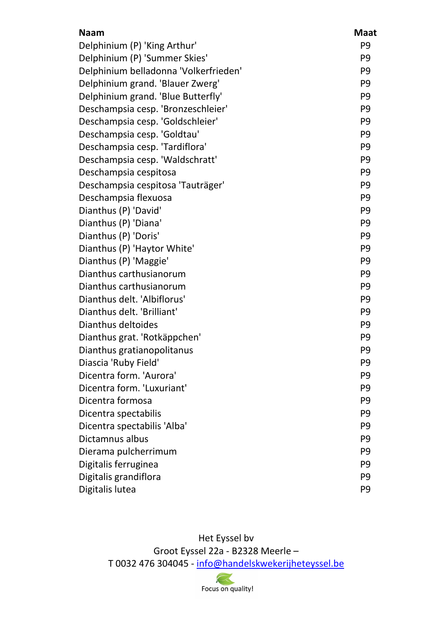| <b>Naam</b>                           | <b>Maat</b>    |
|---------------------------------------|----------------|
| Delphinium (P) 'King Arthur'          | P <sub>9</sub> |
| Delphinium (P) 'Summer Skies'         | P <sub>9</sub> |
| Delphinium belladonna 'Volkerfrieden' | P <sub>9</sub> |
| Delphinium grand. 'Blauer Zwerg'      | P <sub>9</sub> |
| Delphinium grand. 'Blue Butterfly'    | P <sub>9</sub> |
| Deschampsia cesp. 'Bronzeschleier'    | P <sub>9</sub> |
| Deschampsia cesp. 'Goldschleier'      | P <sub>9</sub> |
| Deschampsia cesp. 'Goldtau'           | P <sub>9</sub> |
| Deschampsia cesp. 'Tardiflora'        | P <sub>9</sub> |
| Deschampsia cesp. 'Waldschratt'       | P <sub>9</sub> |
| Deschampsia cespitosa                 | P <sub>9</sub> |
| Deschampsia cespitosa 'Tauträger'     | P <sub>9</sub> |
| Deschampsia flexuosa                  | P <sub>9</sub> |
| Dianthus (P) 'David'                  | P <sub>9</sub> |
| Dianthus (P) 'Diana'                  | P <sub>9</sub> |
| Dianthus (P) 'Doris'                  | P <sub>9</sub> |
| Dianthus (P) 'Haytor White'           | P <sub>9</sub> |
| Dianthus (P) 'Maggie'                 | P <sub>9</sub> |
| Dianthus carthusianorum               | P <sub>9</sub> |
| Dianthus carthusianorum               | P <sub>9</sub> |
| Dianthus delt. 'Albiflorus'           | P <sub>9</sub> |
| Dianthus delt. 'Brilliant'            | P <sub>9</sub> |
| Dianthus deltoides                    | P <sub>9</sub> |
| Dianthus grat. 'Rotkäppchen'          | P <sub>9</sub> |
| Dianthus gratianopolitanus            | P <sub>9</sub> |
| Diascia 'Ruby Field'                  | P <sub>9</sub> |
| Dicentra form. 'Aurora'               | P <sub>9</sub> |
| Dicentra form. 'Luxuriant'            | P <sub>9</sub> |
| Dicentra formosa                      | P <sub>9</sub> |
| Dicentra spectabilis                  | P <sub>9</sub> |
| Dicentra spectabilis 'Alba'           | P <sub>9</sub> |
| Dictamnus albus                       | P <sub>9</sub> |
| Dierama pulcherrimum                  | P <sub>9</sub> |
| Digitalis ferruginea                  | P <sub>9</sub> |
| Digitalis grandiflora                 | P <sub>9</sub> |
| Digitalis lutea                       | P <sub>9</sub> |

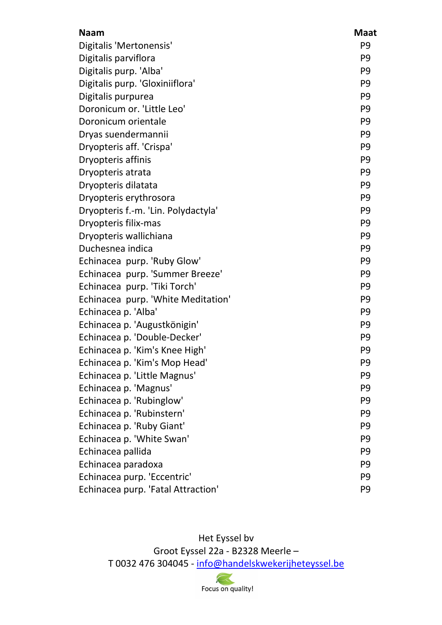| <b>Naam</b>                         | <b>Maat</b>    |
|-------------------------------------|----------------|
| Digitalis 'Mertonensis'             | P <sub>9</sub> |
| Digitalis parviflora                | P <sub>9</sub> |
| Digitalis purp. 'Alba'              | P <sub>9</sub> |
| Digitalis purp. 'Gloxiniiflora'     | P <sub>9</sub> |
| Digitalis purpurea                  | P <sub>9</sub> |
| Doronicum or. 'Little Leo'          | P <sub>9</sub> |
| Doronicum orientale                 | P <sub>9</sub> |
| Dryas suendermannii                 | P <sub>9</sub> |
| Dryopteris aff. 'Crispa'            | P <sub>9</sub> |
| Dryopteris affinis                  | P <sub>9</sub> |
| Dryopteris atrata                   | P <sub>9</sub> |
| Dryopteris dilatata                 | P <sub>9</sub> |
| Dryopteris erythrosora              | P <sub>9</sub> |
| Dryopteris f.-m. 'Lin. Polydactyla' | P <sub>9</sub> |
| Dryopteris filix-mas                | P <sub>9</sub> |
| Dryopteris wallichiana              | P <sub>9</sub> |
| Duchesnea indica                    | P <sub>9</sub> |
| Echinacea purp. 'Ruby Glow'         | P <sub>9</sub> |
| Echinacea purp. 'Summer Breeze'     | P <sub>9</sub> |
| Echinacea purp. 'Tiki Torch'        | P <sub>9</sub> |
| Echinacea purp. 'White Meditation'  | P <sub>9</sub> |
| Echinacea p. 'Alba'                 | P <sub>9</sub> |
| Echinacea p. 'Augustkönigin'        | P <sub>9</sub> |
| Echinacea p. 'Double-Decker'        | P <sub>9</sub> |
| Echinacea p. 'Kim's Knee High'      | P <sub>9</sub> |
| Echinacea p. 'Kim's Mop Head'       | P <sub>9</sub> |
| Echinacea p. 'Little Magnus'        | P <sub>9</sub> |
| Echinacea p. 'Magnus'               | P <sub>9</sub> |
| Echinacea p. 'Rubinglow'            | P <sub>9</sub> |
| Echinacea p. 'Rubinstern'           | P <sub>9</sub> |
| Echinacea p. 'Ruby Giant'           | P <sub>9</sub> |
| Echinacea p. 'White Swan'           | P <sub>9</sub> |
| Echinacea pallida                   | P <sub>9</sub> |
| Echinacea paradoxa                  | P <sub>9</sub> |
| Echinacea purp. 'Eccentric'         | P <sub>9</sub> |
| Echinacea purp. 'Fatal Attraction'  | P <sub>9</sub> |

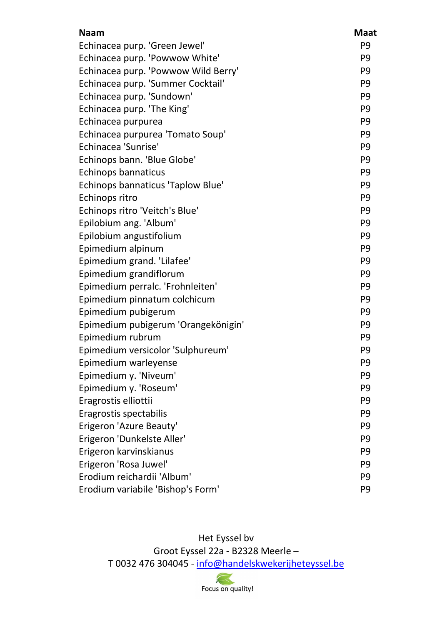| <b>Naam</b>                              | <b>Maat</b>    |
|------------------------------------------|----------------|
| Echinacea purp. 'Green Jewel'            | P <sub>9</sub> |
| Echinacea purp. 'Powwow White'           | P <sub>9</sub> |
| Echinacea purp. 'Powwow Wild Berry'      | P <sub>9</sub> |
| Echinacea purp. 'Summer Cocktail'        | P <sub>9</sub> |
| Echinacea purp. 'Sundown'                | P <sub>9</sub> |
| Echinacea purp. 'The King'               | P <sub>9</sub> |
| Echinacea purpurea                       | P <sub>9</sub> |
| Echinacea purpurea 'Tomato Soup'         | P <sub>9</sub> |
| Echinacea 'Sunrise'                      | P <sub>9</sub> |
| Echinops bann. 'Blue Globe'              | P <sub>9</sub> |
| <b>Echinops bannaticus</b>               | P <sub>9</sub> |
| <b>Echinops bannaticus 'Taplow Blue'</b> | P <sub>9</sub> |
| Echinops ritro                           | P <sub>9</sub> |
| Echinops ritro 'Veitch's Blue'           | P <sub>9</sub> |
| Epilobium ang. 'Album'                   | P <sub>9</sub> |
| Epilobium angustifolium                  | P <sub>9</sub> |
| Epimedium alpinum                        | P <sub>9</sub> |
| Epimedium grand. 'Lilafee'               | P <sub>9</sub> |
| Epimedium grandiflorum                   | P <sub>9</sub> |
| Epimedium perralc. 'Frohnleiten'         | P <sub>9</sub> |
| Epimedium pinnatum colchicum             | P <sub>9</sub> |
| Epimedium pubigerum                      | P <sub>9</sub> |
| Epimedium pubigerum 'Orangekönigin'      | P <sub>9</sub> |
| Epimedium rubrum                         | P <sub>9</sub> |
| Epimedium versicolor 'Sulphureum'        | P <sub>9</sub> |
| Epimedium warleyense                     | P <sub>9</sub> |
| Epimedium y. 'Niveum'                    | P <sub>9</sub> |
| Epimedium y. 'Roseum'                    | P <sub>9</sub> |
| Eragrostis elliottii                     | P <sub>9</sub> |
| Eragrostis spectabilis                   | P <sub>9</sub> |
| Erigeron 'Azure Beauty'                  | P <sub>9</sub> |
| Erigeron 'Dunkelste Aller'               | P <sub>9</sub> |
| Erigeron karvinskianus                   | P <sub>9</sub> |
| Erigeron 'Rosa Juwel'                    | P <sub>9</sub> |
| Erodium reichardii 'Album'               | P <sub>9</sub> |
| Erodium variabile 'Bishop's Form'        | P <sub>9</sub> |

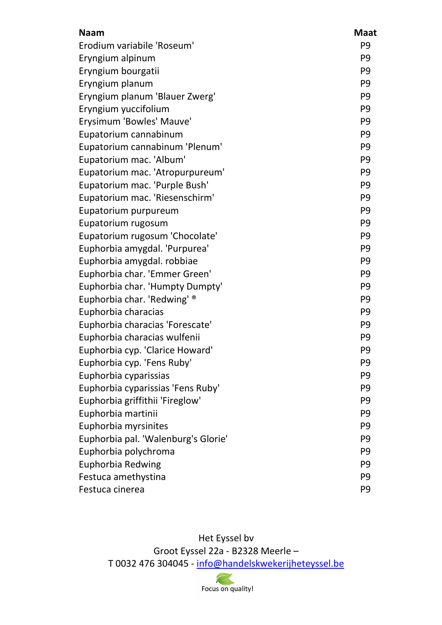| <b>Naam</b>                         | <b>Maat</b>    |
|-------------------------------------|----------------|
| Erodium variabile 'Roseum'          | P <sub>9</sub> |
| Eryngium alpinum                    | P <sub>9</sub> |
| Eryngium bourgatii                  | P <sub>9</sub> |
| Eryngium planum                     | P <sub>9</sub> |
| Eryngium planum 'Blauer Zwerg'      | P <sub>9</sub> |
| Eryngium yuccifolium                | P <sub>9</sub> |
| Erysimum 'Bowles' Mauve'            | P <sub>9</sub> |
| Eupatorium cannabinum               | P <sub>9</sub> |
| Eupatorium cannabinum 'Plenum'      | P <sub>9</sub> |
| Eupatorium mac. 'Album'             | P <sub>9</sub> |
| Eupatorium mac. 'Atropurpureum'     | P <sub>9</sub> |
| Eupatorium mac. 'Purple Bush'       | P <sub>9</sub> |
| Eupatorium mac. 'Riesenschirm'      | P <sub>9</sub> |
| Eupatorium purpureum                | P <sub>9</sub> |
| Eupatorium rugosum                  | P <sub>9</sub> |
| Eupatorium rugosum 'Chocolate'      | P <sub>9</sub> |
| Euphorbia amygdal. 'Purpurea'       | P <sub>9</sub> |
| Euphorbia amygdal. robbiae          | P <sub>9</sub> |
| Euphorbia char. 'Emmer Green'       | P <sub>9</sub> |
| Euphorbia char. 'Humpty Dumpty'     | P <sub>9</sub> |
| Euphorbia char. 'Redwing' ®         | P <sub>9</sub> |
| Euphorbia characias                 | P <sub>9</sub> |
| Euphorbia characias 'Forescate'     | P <sub>9</sub> |
| Euphorbia characias wulfenii        | P <sub>9</sub> |
| Euphorbia cyp. 'Clarice Howard'     | P <sub>9</sub> |
| Euphorbia cyp. 'Fens Ruby'          | P <sub>9</sub> |
| Euphorbia cyparissias               | P <sub>9</sub> |
| Euphorbia cyparissias 'Fens Ruby'   | P <sub>9</sub> |
| Euphorbia griffithii 'Fireglow'     | P <sub>9</sub> |
| Euphorbia martinii                  | P <sub>9</sub> |
| Euphorbia myrsinites                | P <sub>9</sub> |
| Euphorbia pal. 'Walenburg's Glorie' | P <sub>9</sub> |
| Euphorbia polychroma                | P <sub>9</sub> |
| Euphorbia Redwing                   | P <sub>9</sub> |
| Festuca amethystina                 | P <sub>9</sub> |
| Festuca cinerea                     | P <sub>9</sub> |

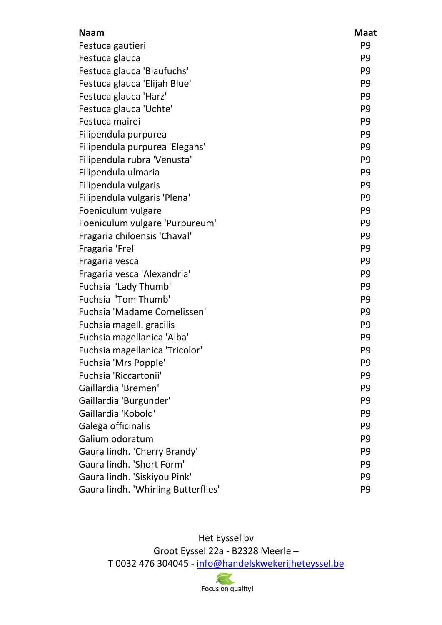| <b>Naam</b>                         | <b>Maat</b>    |
|-------------------------------------|----------------|
| Festuca gautieri                    | P <sub>9</sub> |
| Festuca glauca                      | P <sub>9</sub> |
| Festuca glauca 'Blaufuchs'          | P <sub>9</sub> |
| Festuca glauca 'Elijah Blue'        | P <sub>9</sub> |
| Festuca glauca 'Harz'               | P <sub>9</sub> |
| Festuca glauca 'Uchte'              | P <sub>9</sub> |
| Festuca mairei                      | P <sub>9</sub> |
| Filipendula purpurea                | P <sub>9</sub> |
| Filipendula purpurea 'Elegans'      | P <sub>9</sub> |
| Filipendula rubra 'Venusta'         | P <sub>9</sub> |
| Filipendula ulmaria                 | P <sub>9</sub> |
| Filipendula vulgaris                | P <sub>9</sub> |
| Filipendula vulgaris 'Plena'        | P <sub>9</sub> |
| Foeniculum vulgare                  | P <sub>9</sub> |
| Foeniculum vulgare 'Purpureum'      | P <sub>9</sub> |
| Fragaria chiloensis 'Chaval'        | P <sub>9</sub> |
| Fragaria 'Frel'                     | P <sub>9</sub> |
| Fragaria vesca                      | P <sub>9</sub> |
| Fragaria vesca 'Alexandria'         | P <sub>9</sub> |
| Fuchsia 'Lady Thumb'                | P <sub>9</sub> |
| Fuchsia 'Tom Thumb'                 | P <sub>9</sub> |
| Fuchsia 'Madame Cornelissen'        | P <sub>9</sub> |
| Fuchsia magell. gracilis            | P <sub>9</sub> |
| Fuchsia magellanica 'Alba'          | P <sub>9</sub> |
| Fuchsia magellanica 'Tricolor'      | P <sub>9</sub> |
| Fuchsia 'Mrs Popple'                | P <sub>9</sub> |
| Fuchsia 'Riccartonii'               | P <sub>9</sub> |
| Gaillardia 'Bremen'                 | P <sub>9</sub> |
| Gaillardia 'Burgunder'              | P <sub>9</sub> |
| Gaillardia 'Kobold'                 | P <sub>9</sub> |
| Galega officinalis                  | P <sub>9</sub> |
| Galium odoratum                     | P <sub>9</sub> |
| Gaura lindh. 'Cherry Brandy'        | P <sub>9</sub> |
| Gaura lindh. 'Short Form'           | P <sub>9</sub> |
| Gaura lindh. 'Siskiyou Pink'        | P <sub>9</sub> |
| Gaura lindh. 'Whirling Butterflies' | P <sub>9</sub> |

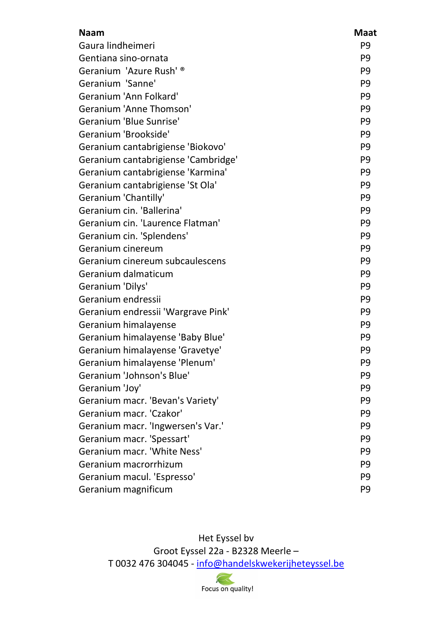| <b>Naam</b>                         | <b>Maat</b>    |
|-------------------------------------|----------------|
| Gaura lindheimeri                   | P <sub>9</sub> |
| Gentiana sino-ornata                | P <sub>9</sub> |
| Geranium 'Azure Rush' <sup>®</sup>  | P <sub>9</sub> |
| Geranium 'Sanne'                    | P <sub>9</sub> |
| Geranium 'Ann Folkard'              | P <sub>9</sub> |
| Geranium 'Anne Thomson'             | P <sub>9</sub> |
| Geranium 'Blue Sunrise'             | P <sub>9</sub> |
| Geranium 'Brookside'                | P <sub>9</sub> |
| Geranium cantabrigiense 'Biokovo'   | P <sub>9</sub> |
| Geranium cantabrigiense 'Cambridge' | P <sub>9</sub> |
| Geranium cantabrigiense 'Karmina'   | P <sub>9</sub> |
| Geranium cantabrigiense 'St Ola'    | P <sub>9</sub> |
| Geranium 'Chantilly'                | P <sub>9</sub> |
| Geranium cin. 'Ballerina'           | P <sub>9</sub> |
| Geranium cin. 'Laurence Flatman'    | P <sub>9</sub> |
| Geranium cin. 'Splendens'           | P <sub>9</sub> |
| Geranium cinereum                   | P <sub>9</sub> |
| Geranium cinereum subcaulescens     | P <sub>9</sub> |
| Geranium dalmaticum                 | P <sub>9</sub> |
| Geranium 'Dilys'                    | P <sub>9</sub> |
| Geranium endressii                  | P <sub>9</sub> |
| Geranium endressii 'Wargrave Pink'  | P <sub>9</sub> |
| Geranium himalayense                | P <sub>9</sub> |
| Geranium himalayense 'Baby Blue'    | P <sub>9</sub> |
| Geranium himalayense 'Gravetye'     | P <sub>9</sub> |
| Geranium himalayense 'Plenum'       | P <sub>9</sub> |
| Geranium 'Johnson's Blue'           | P <sub>9</sub> |
| Geranium 'Joy'                      | P <sub>9</sub> |
| Geranium macr. 'Bevan's Variety'    | P <sub>9</sub> |
| Geranium macr. 'Czakor'             | P <sub>9</sub> |
| Geranium macr. 'Ingwersen's Var.'   | P <sub>9</sub> |
| Geranium macr. 'Spessart'           | P <sub>9</sub> |
| Geranium macr. 'White Ness'         | P <sub>9</sub> |
| Geranium macrorrhizum               | P <sub>9</sub> |
| Geranium macul. 'Espresso'          | P <sub>9</sub> |
| Geranium magnificum                 | P <sub>9</sub> |

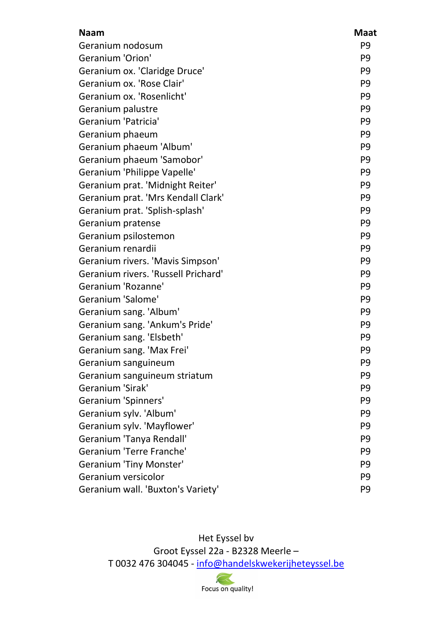| <b>Naam</b>                         | <b>Maat</b>    |
|-------------------------------------|----------------|
| Geranium nodosum                    | P <sub>9</sub> |
| Geranium 'Orion'                    | P <sub>9</sub> |
| Geranium ox. 'Claridge Druce'       | P <sub>9</sub> |
| Geranium ox. 'Rose Clair'           | P <sub>9</sub> |
| Geranium ox. 'Rosenlicht'           | P <sub>9</sub> |
| Geranium palustre                   | P <sub>9</sub> |
| Geranium 'Patricia'                 | P <sub>9</sub> |
| Geranium phaeum                     | P <sub>9</sub> |
| Geranium phaeum 'Album'             | P <sub>9</sub> |
| Geranium phaeum 'Samobor'           | P <sub>9</sub> |
| Geranium 'Philippe Vapelle'         | P <sub>9</sub> |
| Geranium prat. 'Midnight Reiter'    | P <sub>9</sub> |
| Geranium prat. 'Mrs Kendall Clark'  | P <sub>9</sub> |
| Geranium prat. 'Splish-splash'      | P <sub>9</sub> |
| Geranium pratense                   | P <sub>9</sub> |
| Geranium psilostemon                | P <sub>9</sub> |
| Geranium renardii                   | P <sub>9</sub> |
| Geranium rivers. 'Mavis Simpson'    | P <sub>9</sub> |
| Geranium rivers. 'Russell Prichard' | P <sub>9</sub> |
| Geranium 'Rozanne'                  | P <sub>9</sub> |
| Geranium 'Salome'                   | P <sub>9</sub> |
| Geranium sang. 'Album'              | P <sub>9</sub> |
| Geranium sang. 'Ankum's Pride'      | P <sub>9</sub> |
| Geranium sang. 'Elsbeth'            | P <sub>9</sub> |
| Geranium sang. 'Max Frei'           | P <sub>9</sub> |
| Geranium sanguineum                 | P <sub>9</sub> |
| Geranium sanguineum striatum        | P <sub>9</sub> |
| Geranium 'Sirak'                    | P <sub>9</sub> |
| Geranium 'Spinners'                 | P <sub>9</sub> |
| Geranium sylv. 'Album'              | P <sub>9</sub> |
| Geranium sylv. 'Mayflower'          | P <sub>9</sub> |
| Geranium 'Tanya Rendall'            | P <sub>9</sub> |
| Geranium 'Terre Franche'            | P <sub>9</sub> |
| <b>Geranium 'Tiny Monster'</b>      | P <sub>9</sub> |
| Geranium versicolor                 | P <sub>9</sub> |
| Geranium wall. 'Buxton's Variety'   | P <sub>9</sub> |

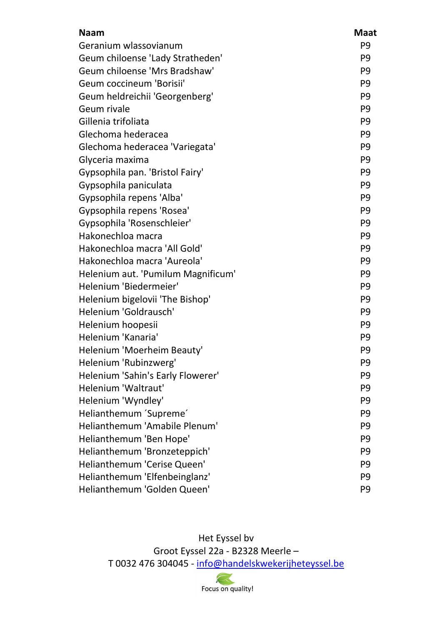| <b>Naam</b>                        | <b>Maat</b>    |
|------------------------------------|----------------|
| Geranium wlassovianum              | P <sub>9</sub> |
| Geum chiloense 'Lady Stratheden'   | P <sub>9</sub> |
| Geum chiloense 'Mrs Bradshaw'      | P <sub>9</sub> |
| Geum coccineum 'Borisii'           | P <sub>9</sub> |
| Geum heldreichii 'Georgenberg'     | P <sub>9</sub> |
| Geum rivale                        | P <sub>9</sub> |
| Gillenia trifoliata                | P <sub>9</sub> |
| Glechoma hederacea                 | P <sub>9</sub> |
| Glechoma hederacea 'Variegata'     | P <sub>9</sub> |
| Glyceria maxima                    | P <sub>9</sub> |
| Gypsophila pan. 'Bristol Fairy'    | P <sub>9</sub> |
| Gypsophila paniculata              | P <sub>9</sub> |
| Gypsophila repens 'Alba'           | P <sub>9</sub> |
| Gypsophila repens 'Rosea'          | P <sub>9</sub> |
| Gypsophila 'Rosenschleier'         | P <sub>9</sub> |
| Hakonechloa macra                  | P <sub>9</sub> |
| Hakonechloa macra 'All Gold'       | P <sub>9</sub> |
| Hakonechloa macra 'Aureola'        | P <sub>9</sub> |
| Helenium aut. 'Pumilum Magnificum' | P <sub>9</sub> |
| Helenium 'Biedermeier'             | P <sub>9</sub> |
| Helenium bigelovii 'The Bishop'    | P <sub>9</sub> |
| Helenium 'Goldrausch'              | P <sub>9</sub> |
| Helenium hoopesii                  | P <sub>9</sub> |
| Helenium 'Kanaria'                 | P <sub>9</sub> |
| Helenium 'Moerheim Beauty'         | P <sub>9</sub> |
| Helenium 'Rubinzwerg'              | P <sub>9</sub> |
| Helenium 'Sahin's Early Flowerer'  | P <sub>9</sub> |
| Helenium 'Waltraut'                | P <sub>9</sub> |
| Helenium 'Wyndley'                 | P <sub>9</sub> |
| Helianthemum 'Supreme'             | P <sub>9</sub> |
| Helianthemum 'Amabile Plenum'      | P <sub>9</sub> |
| Helianthemum 'Ben Hope'            | P <sub>9</sub> |
| Helianthemum 'Bronzeteppich'       | P <sub>9</sub> |
| Helianthemum 'Cerise Queen'        | P <sub>9</sub> |
| Helianthemum 'Elfenbeinglanz'      | P <sub>9</sub> |
| Helianthemum 'Golden Queen'        | P <sub>9</sub> |

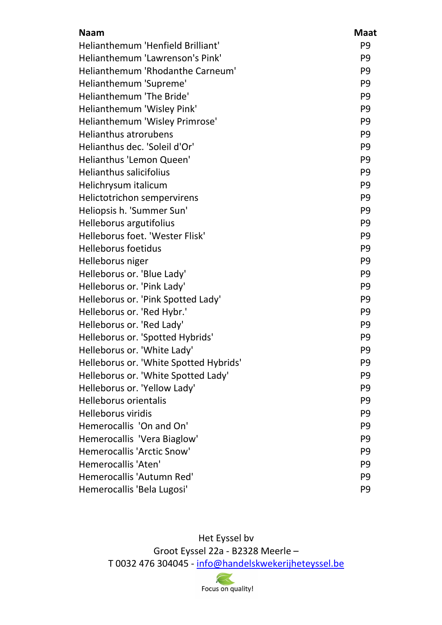| <b>Naam</b>                            | <b>Maat</b>    |
|----------------------------------------|----------------|
| Helianthemum 'Henfield Brilliant'      | P <sub>9</sub> |
| Helianthemum 'Lawrenson's Pink'        | P <sub>9</sub> |
| Helianthemum 'Rhodanthe Carneum'       | P <sub>9</sub> |
| Helianthemum 'Supreme'                 | P <sub>9</sub> |
| <b>Helianthemum 'The Bride'</b>        | P <sub>9</sub> |
| Helianthemum 'Wisley Pink'             | P <sub>9</sub> |
| Helianthemum 'Wisley Primrose'         | P <sub>9</sub> |
| <b>Helianthus atrorubens</b>           | P <sub>9</sub> |
| Helianthus dec. 'Soleil d'Or'          | P <sub>9</sub> |
| Helianthus 'Lemon Queen'               | P <sub>9</sub> |
| <b>Helianthus salicifolius</b>         | P <sub>9</sub> |
| Helichrysum italicum                   | P <sub>9</sub> |
| Helictotrichon sempervirens            | P <sub>9</sub> |
| Heliopsis h. 'Summer Sun'              | P <sub>9</sub> |
| Helleborus argutifolius                | P <sub>9</sub> |
| Helleborus foet. 'Wester Flisk'        | P <sub>9</sub> |
| <b>Helleborus foetidus</b>             | P <sub>9</sub> |
| Helleborus niger                       | P <sub>9</sub> |
| Helleborus or. 'Blue Lady'             | P <sub>9</sub> |
| Helleborus or. 'Pink Lady'             | P <sub>9</sub> |
| Helleborus or. 'Pink Spotted Lady'     | P <sub>9</sub> |
| Helleborus or. 'Red Hybr.'             | P <sub>9</sub> |
| Helleborus or. 'Red Lady'              | P <sub>9</sub> |
| Helleborus or. 'Spotted Hybrids'       | P <sub>9</sub> |
| Helleborus or. 'White Lady'            | P <sub>9</sub> |
| Helleborus or. 'White Spotted Hybrids' | P <sub>9</sub> |
| Helleborus or. 'White Spotted Lady'    | P <sub>9</sub> |
| Helleborus or. 'Yellow Lady'           | P <sub>9</sub> |
| Helleborus orientalis                  | P <sub>9</sub> |
| <b>Helleborus viridis</b>              | P <sub>9</sub> |
| Hemerocallis 'On and On'               | P <sub>9</sub> |
| Hemerocallis 'Vera Biaglow'            | P <sub>9</sub> |
| <b>Hemerocallis 'Arctic Snow'</b>      | P <sub>9</sub> |
| Hemerocallis 'Aten'                    | P <sub>9</sub> |
| Hemerocallis 'Autumn Red'              | P <sub>9</sub> |
| Hemerocallis 'Bela Lugosi'             | P <sub>9</sub> |

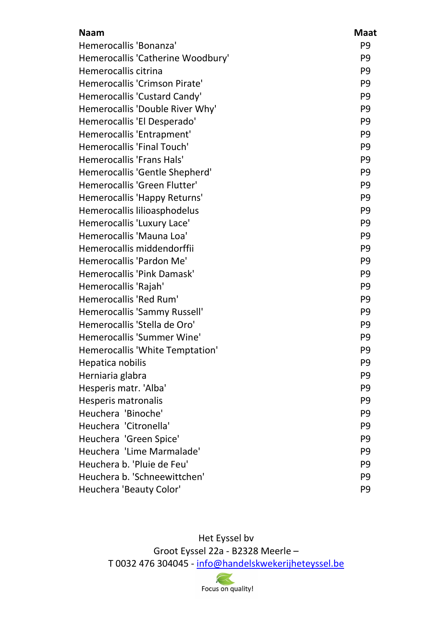| <b>Naam</b>                       | <b>Maat</b>    |
|-----------------------------------|----------------|
| Hemerocallis 'Bonanza'            | P <sub>9</sub> |
| Hemerocallis 'Catherine Woodbury' | P <sub>9</sub> |
| Hemerocallis citrina              | P <sub>9</sub> |
| Hemerocallis 'Crimson Pirate'     | P <sub>9</sub> |
| Hemerocallis 'Custard Candy'      | P <sub>9</sub> |
| Hemerocallis 'Double River Why'   | P <sub>9</sub> |
| Hemerocallis 'El Desperado'       | P <sub>9</sub> |
| Hemerocallis 'Entrapment'         | P <sub>9</sub> |
| Hemerocallis 'Final Touch'        | P <sub>9</sub> |
| <b>Hemerocallis 'Frans Hals'</b>  | P <sub>9</sub> |
| Hemerocallis 'Gentle Shepherd'    | P <sub>9</sub> |
| Hemerocallis 'Green Flutter'      | P <sub>9</sub> |
| Hemerocallis 'Happy Returns'      | P <sub>9</sub> |
| Hemerocallis lilioasphodelus      | P <sub>9</sub> |
| Hemerocallis 'Luxury Lace'        | P <sub>9</sub> |
| Hemerocallis 'Mauna Loa'          | P <sub>9</sub> |
| Hemerocallis middendorffii        | P <sub>9</sub> |
| Hemerocallis 'Pardon Me'          | P <sub>9</sub> |
| Hemerocallis 'Pink Damask'        | P <sub>9</sub> |
| Hemerocallis 'Rajah'              | P <sub>9</sub> |
| Hemerocallis 'Red Rum'            | P <sub>9</sub> |
| Hemerocallis 'Sammy Russell'      | P <sub>9</sub> |
| Hemerocallis 'Stella de Oro'      | P <sub>9</sub> |
| Hemerocallis 'Summer Wine'        | P <sub>9</sub> |
| Hemerocallis 'White Temptation'   | P <sub>9</sub> |
| Hepatica nobilis                  | P <sub>9</sub> |
| Herniaria glabra                  | P <sub>9</sub> |
| Hesperis matr. 'Alba'             | P <sub>9</sub> |
| Hesperis matronalis               | P <sub>9</sub> |
| Heuchera 'Binoche'                | P <sub>9</sub> |
| Heuchera 'Citronella'             | P <sub>9</sub> |
| Heuchera 'Green Spice'            | P <sub>9</sub> |
| Heuchera 'Lime Marmalade'         | P <sub>9</sub> |
| Heuchera b. 'Pluie de Feu'        | P <sub>9</sub> |
| Heuchera b. 'Schneewittchen'      | P <sub>9</sub> |
| Heuchera 'Beauty Color'           | P <sub>9</sub> |

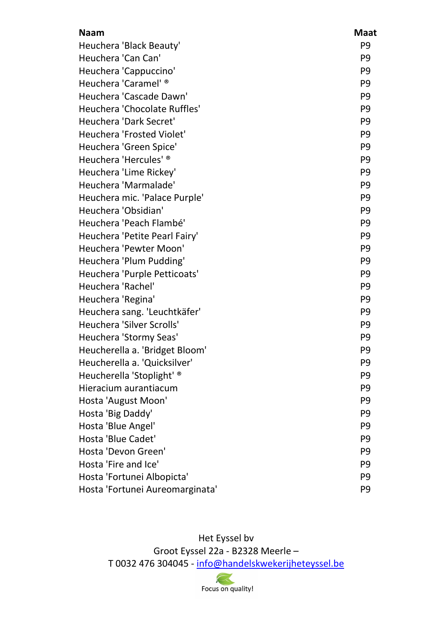| <b>Naam</b>                      | <b>Maat</b>    |
|----------------------------------|----------------|
| Heuchera 'Black Beauty'          | P <sub>9</sub> |
| Heuchera 'Can Can'               | P <sub>9</sub> |
| Heuchera 'Cappuccino'            | P <sub>9</sub> |
| Heuchera 'Caramel' ®             | P <sub>9</sub> |
| Heuchera 'Cascade Dawn'          | P <sub>9</sub> |
| Heuchera 'Chocolate Ruffles'     | P <sub>9</sub> |
| <b>Heuchera 'Dark Secret'</b>    | P <sub>9</sub> |
| <b>Heuchera 'Frosted Violet'</b> | P <sub>9</sub> |
| Heuchera 'Green Spice'           | P <sub>9</sub> |
| Heuchera 'Hercules' ®            | P <sub>9</sub> |
| Heuchera 'Lime Rickey'           | P <sub>9</sub> |
| Heuchera 'Marmalade'             | P <sub>9</sub> |
| Heuchera mic. 'Palace Purple'    | P <sub>9</sub> |
| Heuchera 'Obsidian'              | P <sub>9</sub> |
| Heuchera 'Peach Flambé'          | P <sub>9</sub> |
| Heuchera 'Petite Pearl Fairy'    | P <sub>9</sub> |
| Heuchera 'Pewter Moon'           | P <sub>9</sub> |
| Heuchera 'Plum Pudding'          | P <sub>9</sub> |
| Heuchera 'Purple Petticoats'     | P <sub>9</sub> |
| Heuchera 'Rachel'                | P <sub>9</sub> |
| Heuchera 'Regina'                | P <sub>9</sub> |
| Heuchera sang. 'Leuchtkäfer'     | P <sub>9</sub> |
| Heuchera 'Silver Scrolls'        | P <sub>9</sub> |
| Heuchera 'Stormy Seas'           | P <sub>9</sub> |
| Heucherella a. 'Bridget Bloom'   | P <sub>9</sub> |
| Heucherella a. 'Quicksilver'     | P <sub>9</sub> |
| Heucherella 'Stoplight' ®        | P <sub>9</sub> |
| Hieracium aurantiacum            | P <sub>9</sub> |
| Hosta 'August Moon'              | P <sub>9</sub> |
| Hosta 'Big Daddy'                | P <sub>9</sub> |
| Hosta 'Blue Angel'               | P <sub>9</sub> |
| Hosta 'Blue Cadet'               | P <sub>9</sub> |
| Hosta 'Devon Green'              | P <sub>9</sub> |
| Hosta 'Fire and Ice'             | P <sub>9</sub> |
| Hosta 'Fortunei Albopicta'       | P <sub>9</sub> |
| Hosta 'Fortunei Aureomarginata'  | P <sub>9</sub> |

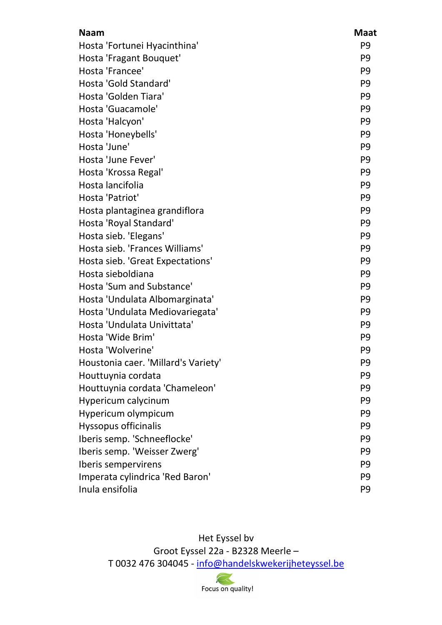| <b>Naam</b>                         | <b>Maat</b>    |
|-------------------------------------|----------------|
| Hosta 'Fortunei Hyacinthina'        | P <sub>9</sub> |
| Hosta 'Fragant Bouquet'             | P <sub>9</sub> |
| Hosta 'Francee'                     | P <sub>9</sub> |
| Hosta 'Gold Standard'               | P <sub>9</sub> |
| Hosta 'Golden Tiara'                | P <sub>9</sub> |
| Hosta 'Guacamole'                   | P <sub>9</sub> |
| Hosta 'Halcyon'                     | P <sub>9</sub> |
| Hosta 'Honeybells'                  | P <sub>9</sub> |
| Hosta 'June'                        | P <sub>9</sub> |
| Hosta 'June Fever'                  | P <sub>9</sub> |
| Hosta 'Krossa Regal'                | P <sub>9</sub> |
| Hosta lancifolia                    | P <sub>9</sub> |
| Hosta 'Patriot'                     | P <sub>9</sub> |
| Hosta plantaginea grandiflora       | P <sub>9</sub> |
| Hosta 'Royal Standard'              | P <sub>9</sub> |
| Hosta sieb. 'Elegans'               | P <sub>9</sub> |
| Hosta sieb. 'Frances Williams'      | P <sub>9</sub> |
| Hosta sieb. 'Great Expectations'    | P <sub>9</sub> |
| Hosta sieboldiana                   | P <sub>9</sub> |
| Hosta 'Sum and Substance'           | P <sub>9</sub> |
| Hosta 'Undulata Albomarginata'      | P <sub>9</sub> |
| Hosta 'Undulata Mediovariegata'     | P <sub>9</sub> |
| Hosta 'Undulata Univittata'         | P <sub>9</sub> |
| Hosta 'Wide Brim'                   | P <sub>9</sub> |
| Hosta 'Wolverine'                   | P <sub>9</sub> |
| Houstonia caer. 'Millard's Variety' | P <sub>9</sub> |
| Houttuynia cordata                  | P <sub>9</sub> |
| Houttuynia cordata 'Chameleon'      | P <sub>9</sub> |
| Hypericum calycinum                 | P <sub>9</sub> |
| Hypericum olympicum                 | P <sub>9</sub> |
| <b>Hyssopus officinalis</b>         | P <sub>9</sub> |
| Iberis semp. 'Schneeflocke'         | P <sub>9</sub> |
| Iberis semp. 'Weisser Zwerg'        | P <sub>9</sub> |
| Iberis sempervirens                 | P <sub>9</sub> |
| Imperata cylindrica 'Red Baron'     | P <sub>9</sub> |
| Inula ensifolia                     | P <sub>9</sub> |

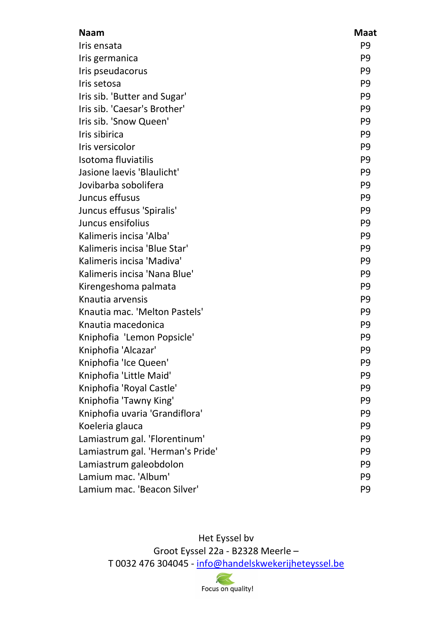| <b>Naam</b>                      | <b>Maat</b>    |
|----------------------------------|----------------|
| Iris ensata                      | P <sub>9</sub> |
| Iris germanica                   | P <sub>9</sub> |
| Iris pseudacorus                 | P <sub>9</sub> |
| Iris setosa                      | P <sub>9</sub> |
| Iris sib. 'Butter and Sugar'     | P <sub>9</sub> |
| Iris sib. 'Caesar's Brother'     | P <sub>9</sub> |
| Iris sib. 'Snow Queen'           | P <sub>9</sub> |
| Iris sibirica                    | P <sub>9</sub> |
| Iris versicolor                  | P <sub>9</sub> |
| Isotoma fluviatilis              | P <sub>9</sub> |
| Jasione laevis 'Blaulicht'       | P <sub>9</sub> |
| Jovibarba sobolifera             | P <sub>9</sub> |
| Juncus effusus                   | P <sub>9</sub> |
| Juncus effusus 'Spiralis'        | P <sub>9</sub> |
| Juncus ensifolius                | P <sub>9</sub> |
| Kalimeris incisa 'Alba'          | P <sub>9</sub> |
| Kalimeris incisa 'Blue Star'     | P <sub>9</sub> |
| Kalimeris incisa 'Madiva'        | P <sub>9</sub> |
| Kalimeris incisa 'Nana Blue'     | P <sub>9</sub> |
| Kirengeshoma palmata             | P <sub>9</sub> |
| Knautia arvensis                 | P <sub>9</sub> |
| Knautia mac. 'Melton Pastels'    | P <sub>9</sub> |
| Knautia macedonica               | P <sub>9</sub> |
| Kniphofia 'Lemon Popsicle'       | P <sub>9</sub> |
| Kniphofia 'Alcazar'              | P <sub>9</sub> |
| Kniphofia 'Ice Queen'            | P <sub>9</sub> |
| Kniphofia 'Little Maid'          | P <sub>9</sub> |
| Kniphofia 'Royal Castle'         | P <sub>9</sub> |
| Kniphofia 'Tawny King'           | P <sub>9</sub> |
| Kniphofia uvaria 'Grandiflora'   | P <sub>9</sub> |
| Koeleria glauca                  | P <sub>9</sub> |
| Lamiastrum gal. 'Florentinum'    | P <sub>9</sub> |
| Lamiastrum gal. 'Herman's Pride' | P <sub>9</sub> |
| Lamiastrum galeobdolon           | P <sub>9</sub> |
| Lamium mac. 'Album'              | P <sub>9</sub> |
| Lamium mac. 'Beacon Silver'      | P <sub>9</sub> |

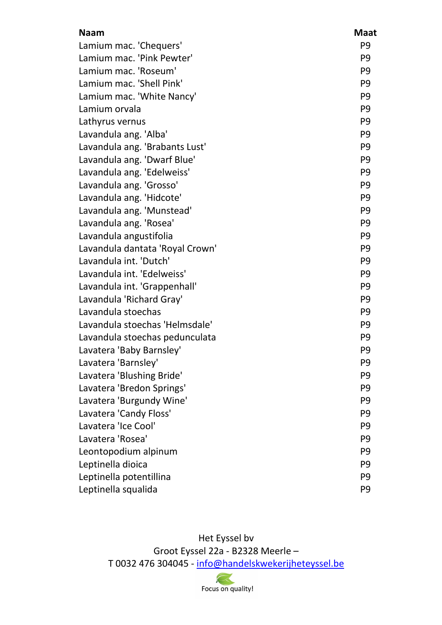| <b>Naam</b>                     | <b>Maat</b>    |
|---------------------------------|----------------|
| Lamium mac. 'Chequers'          | P <sub>9</sub> |
| Lamium mac. 'Pink Pewter'       | P <sub>9</sub> |
| Lamium mac. 'Roseum'            | P <sub>9</sub> |
| Lamium mac. 'Shell Pink'        | P <sub>9</sub> |
| Lamium mac. 'White Nancy'       | P <sub>9</sub> |
| Lamium orvala                   | P <sub>9</sub> |
| Lathyrus vernus                 | P <sub>9</sub> |
| Lavandula ang. 'Alba'           | P <sub>9</sub> |
| Lavandula ang. 'Brabants Lust'  | P <sub>9</sub> |
| Lavandula ang. 'Dwarf Blue'     | P <sub>9</sub> |
| Lavandula ang. 'Edelweiss'      | P <sub>9</sub> |
| Lavandula ang. 'Grosso'         | P <sub>9</sub> |
| Lavandula ang. 'Hidcote'        | P <sub>9</sub> |
| Lavandula ang. 'Munstead'       | P <sub>9</sub> |
| Lavandula ang. 'Rosea'          | P <sub>9</sub> |
| Lavandula angustifolia          | P <sub>9</sub> |
| Lavandula dantata 'Royal Crown' | P <sub>9</sub> |
| Lavandula int. 'Dutch'          | P <sub>9</sub> |
| Lavandula int. 'Edelweiss'      | P <sub>9</sub> |
| Lavandula int. 'Grappenhall'    | P <sub>9</sub> |
| Lavandula 'Richard Gray'        | P <sub>9</sub> |
| Lavandula stoechas              | P <sub>9</sub> |
| Lavandula stoechas 'Helmsdale'  | P <sub>9</sub> |
| Lavandula stoechas pedunculata  | P <sub>9</sub> |
| Lavatera 'Baby Barnsley'        | P <sub>9</sub> |
| Lavatera 'Barnsley'             | P <sub>9</sub> |
| Lavatera 'Blushing Bride'       | P <sub>9</sub> |
| Lavatera 'Bredon Springs'       | P <sub>9</sub> |
| Lavatera 'Burgundy Wine'        | P <sub>9</sub> |
| Lavatera 'Candy Floss'          | P <sub>9</sub> |
| Lavatera 'Ice Cool'             | P <sub>9</sub> |
| Lavatera 'Rosea'                | P <sub>9</sub> |
| Leontopodium alpinum            | P <sub>9</sub> |
| Leptinella dioica               | P <sub>9</sub> |
| Leptinella potentillina         | P <sub>9</sub> |
| Leptinella squalida             | P <sub>9</sub> |

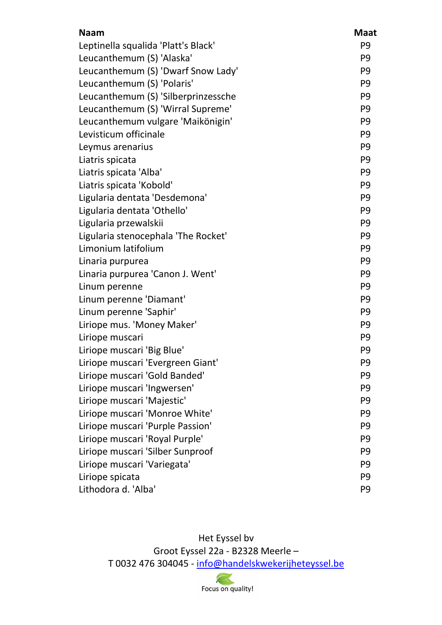| <b>Naam</b>                         | <b>Maat</b>    |
|-------------------------------------|----------------|
| Leptinella squalida 'Platt's Black' | P <sub>9</sub> |
| Leucanthemum (S) 'Alaska'           | P <sub>9</sub> |
| Leucanthemum (S) 'Dwarf Snow Lady'  | P <sub>9</sub> |
| Leucanthemum (S) 'Polaris'          | P <sub>9</sub> |
| Leucanthemum (S) 'Silberprinzessche | P <sub>9</sub> |
| Leucanthemum (S) 'Wirral Supreme'   | P <sub>9</sub> |
| Leucanthemum vulgare 'Maikönigin'   | P <sub>9</sub> |
| Levisticum officinale               | P <sub>9</sub> |
| Leymus arenarius                    | P <sub>9</sub> |
| Liatris spicata                     | P <sub>9</sub> |
| Liatris spicata 'Alba'              | P <sub>9</sub> |
| Liatris spicata 'Kobold'            | P <sub>9</sub> |
| Ligularia dentata 'Desdemona'       | P <sub>9</sub> |
| Ligularia dentata 'Othello'         | P <sub>9</sub> |
| Ligularia przewalskii               | P <sub>9</sub> |
| Ligularia stenocephala 'The Rocket' | P <sub>9</sub> |
| Limonium latifolium                 | P <sub>9</sub> |
| Linaria purpurea                    | P <sub>9</sub> |
| Linaria purpurea 'Canon J. Went'    | P <sub>9</sub> |
| Linum perenne                       | P <sub>9</sub> |
| Linum perenne 'Diamant'             | P <sub>9</sub> |
| Linum perenne 'Saphir'              | P <sub>9</sub> |
| Liriope mus. 'Money Maker'          | P <sub>9</sub> |
| Liriope muscari                     | P <sub>9</sub> |
| Liriope muscari 'Big Blue'          | P <sub>9</sub> |
| Liriope muscari 'Evergreen Giant'   | P <sub>9</sub> |
| Liriope muscari 'Gold Banded'       | P <sub>9</sub> |
| Liriope muscari 'Ingwersen'         | P <sub>9</sub> |
| Liriope muscari 'Majestic'          | P <sub>9</sub> |
| Liriope muscari 'Monroe White'      | P <sub>9</sub> |
| Liriope muscari 'Purple Passion'    | P <sub>9</sub> |
| Liriope muscari 'Royal Purple'      | P <sub>9</sub> |
| Liriope muscari 'Silber Sunproof    | P <sub>9</sub> |
| Liriope muscari 'Variegata'         | P <sub>9</sub> |
| Liriope spicata                     | P <sub>9</sub> |
| Lithodora d. 'Alba'                 | P <sub>9</sub> |

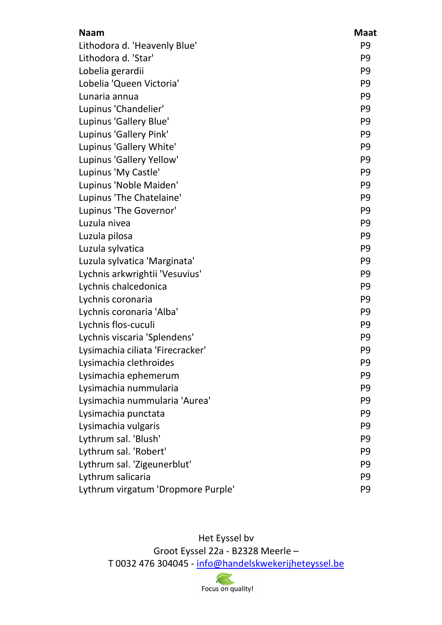| <b>Naam</b>                        | <b>Maat</b>    |
|------------------------------------|----------------|
| Lithodora d. 'Heavenly Blue'       | P <sub>9</sub> |
| Lithodora d. 'Star'                | P <sub>9</sub> |
| Lobelia gerardii                   | P <sub>9</sub> |
| Lobelia 'Queen Victoria'           | P <sub>9</sub> |
| Lunaria annua                      | P <sub>9</sub> |
| Lupinus 'Chandelier'               | P <sub>9</sub> |
| Lupinus 'Gallery Blue'             | P <sub>9</sub> |
| Lupinus 'Gallery Pink'             | P <sub>9</sub> |
| Lupinus 'Gallery White'            | P <sub>9</sub> |
| Lupinus 'Gallery Yellow'           | P <sub>9</sub> |
| Lupinus 'My Castle'                | P <sub>9</sub> |
| Lupinus 'Noble Maiden'             | P <sub>9</sub> |
| Lupinus 'The Chatelaine'           | P <sub>9</sub> |
| Lupinus 'The Governor'             | P <sub>9</sub> |
| Luzula nivea                       | P <sub>9</sub> |
| Luzula pilosa                      | P <sub>9</sub> |
| Luzula sylvatica                   | P <sub>9</sub> |
| Luzula sylvatica 'Marginata'       | P <sub>9</sub> |
| Lychnis arkwrightii 'Vesuvius'     | P <sub>9</sub> |
| Lychnis chalcedonica               | P <sub>9</sub> |
| Lychnis coronaria                  | P <sub>9</sub> |
| Lychnis coronaria 'Alba'           | P <sub>9</sub> |
| Lychnis flos-cuculi                | P <sub>9</sub> |
| Lychnis viscaria 'Splendens'       | P <sub>9</sub> |
| Lysimachia ciliata 'Firecracker'   | P <sub>9</sub> |
| Lysimachia clethroides             | P <sub>9</sub> |
| Lysimachia ephemerum               | P <sub>9</sub> |
| Lysimachia nummularia              | P <sub>9</sub> |
| Lysimachia nummularia 'Aurea'      | P <sub>9</sub> |
| Lysimachia punctata                | P <sub>9</sub> |
| Lysimachia vulgaris                | P <sub>9</sub> |
| Lythrum sal. 'Blush'               | P <sub>9</sub> |
| Lythrum sal. 'Robert'              | P <sub>9</sub> |
| Lythrum sal. 'Zigeunerblut'        | P <sub>9</sub> |
| Lythrum salicaria                  | P <sub>9</sub> |
| Lythrum virgatum 'Dropmore Purple' | P <sub>9</sub> |

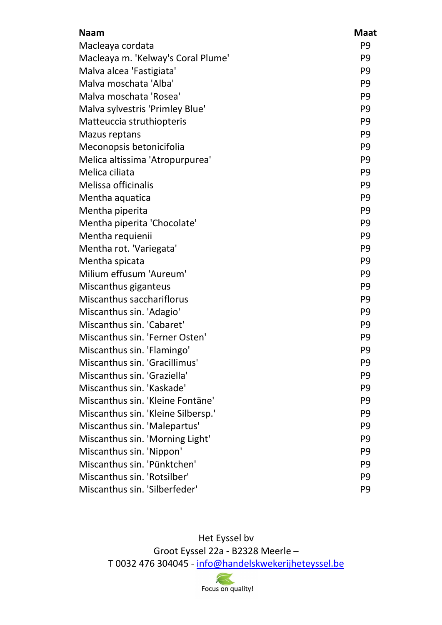| <b>Naam</b>                        | <b>Maat</b>    |
|------------------------------------|----------------|
| Macleaya cordata                   | P <sub>9</sub> |
| Macleaya m. 'Kelway's Coral Plume' | P <sub>9</sub> |
| Malva alcea 'Fastigiata'           | P <sub>9</sub> |
| Malva moschata 'Alba'              | P <sub>9</sub> |
| Malva moschata 'Rosea'             | P <sub>9</sub> |
| Malva sylvestris 'Primley Blue'    | P <sub>9</sub> |
| Matteuccia struthiopteris          | P <sub>9</sub> |
| <b>Mazus reptans</b>               | P <sub>9</sub> |
| Meconopsis betonicifolia           | P <sub>9</sub> |
| Melica altissima 'Atropurpurea'    | P <sub>9</sub> |
| Melica ciliata                     | P <sub>9</sub> |
| Melissa officinalis                | P <sub>9</sub> |
| Mentha aquatica                    | P <sub>9</sub> |
| Mentha piperita                    | P <sub>9</sub> |
| Mentha piperita 'Chocolate'        | P <sub>9</sub> |
| Mentha requienii                   | P <sub>9</sub> |
| Mentha rot. 'Variegata'            | P <sub>9</sub> |
| Mentha spicata                     | P <sub>9</sub> |
| Milium effusum 'Aureum'            | P <sub>9</sub> |
| Miscanthus giganteus               | P <sub>9</sub> |
| Miscanthus sacchariflorus          | P <sub>9</sub> |
| Miscanthus sin. 'Adagio'           | P <sub>9</sub> |
| Miscanthus sin. 'Cabaret'          | P <sub>9</sub> |
| Miscanthus sin. 'Ferner Osten'     | P <sub>9</sub> |
| Miscanthus sin. 'Flamingo'         | P <sub>9</sub> |
| Miscanthus sin. 'Gracillimus'      | P <sub>9</sub> |
| Miscanthus sin. 'Graziella'        | P <sub>9</sub> |
| Miscanthus sin. 'Kaskade'          | P <sub>9</sub> |
| Miscanthus sin. 'Kleine Fontäne'   | P <sub>9</sub> |
| Miscanthus sin. 'Kleine Silbersp.' | P <sub>9</sub> |
| Miscanthus sin. 'Malepartus'       | P <sub>9</sub> |
| Miscanthus sin. 'Morning Light'    | P <sub>9</sub> |
| Miscanthus sin. 'Nippon'           | P <sub>9</sub> |
| Miscanthus sin. 'Pünktchen'        | P <sub>9</sub> |
| Miscanthus sin. 'Rotsilber'        | P <sub>9</sub> |
| Miscanthus sin. 'Silberfeder'      | P <sub>9</sub> |

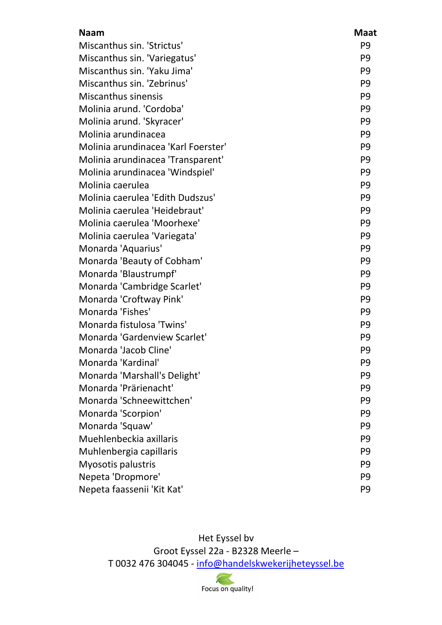| <b>Naam</b>                         | <b>Maat</b>    |
|-------------------------------------|----------------|
| Miscanthus sin. 'Strictus'          | P <sub>9</sub> |
| Miscanthus sin. 'Variegatus'        | P <sub>9</sub> |
| Miscanthus sin. 'Yaku Jima'         | P <sub>9</sub> |
| Miscanthus sin. 'Zebrinus'          | P <sub>9</sub> |
| <b>Miscanthus sinensis</b>          | P <sub>9</sub> |
| Molinia arund. 'Cordoba'            | P <sub>9</sub> |
| Molinia arund. 'Skyracer'           | P <sub>9</sub> |
| Molinia arundinacea                 | P <sub>9</sub> |
| Molinia arundinacea 'Karl Foerster' | P <sub>9</sub> |
| Molinia arundinacea 'Transparent'   | P <sub>9</sub> |
| Molinia arundinacea 'Windspiel'     | P <sub>9</sub> |
| Molinia caerulea                    | P <sub>9</sub> |
| Molinia caerulea 'Edith Dudszus'    | P <sub>9</sub> |
| Molinia caerulea 'Heidebraut'       | P <sub>9</sub> |
| Molinia caerulea 'Moorhexe'         | P <sub>9</sub> |
| Molinia caerulea 'Variegata'        | P <sub>9</sub> |
| Monarda 'Aquarius'                  | P <sub>9</sub> |
| Monarda 'Beauty of Cobham'          | P <sub>9</sub> |
| Monarda 'Blaustrumpf'               | P <sub>9</sub> |
| Monarda 'Cambridge Scarlet'         | P <sub>9</sub> |
| Monarda 'Croftway Pink'             | P <sub>9</sub> |
| Monarda 'Fishes'                    | P <sub>9</sub> |
| Monarda fistulosa 'Twins'           | P <sub>9</sub> |
| Monarda 'Gardenview Scarlet'        | P <sub>9</sub> |
| Monarda 'Jacob Cline'               | P <sub>9</sub> |
| Monarda 'Kardinal'                  | P <sub>9</sub> |
| Monarda 'Marshall's Delight'        | P <sub>9</sub> |
| Monarda 'Prärienacht'               | P <sub>9</sub> |
| Monarda 'Schneewittchen'            | P <sub>9</sub> |
| Monarda 'Scorpion'                  | P <sub>9</sub> |
| Monarda 'Squaw'                     | P <sub>9</sub> |
| Muehlenbeckia axillaris             | P <sub>9</sub> |
| Muhlenbergia capillaris             | P <sub>9</sub> |
| Myosotis palustris                  | P <sub>9</sub> |
| Nepeta 'Dropmore'                   | P <sub>9</sub> |
| Nepeta faassenii 'Kit Kat'          | P <sub>9</sub> |

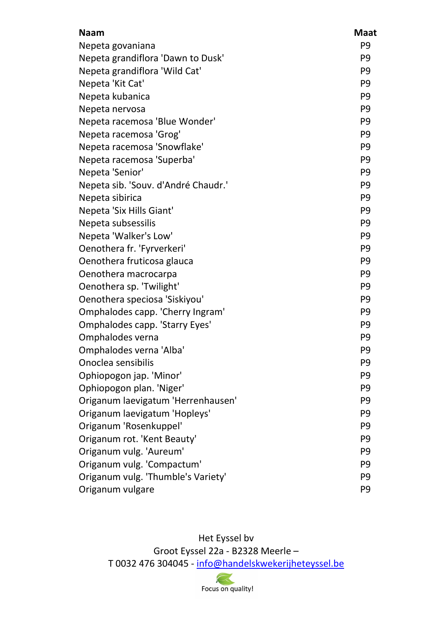| <b>Naam</b>                         | <b>Maat</b>    |
|-------------------------------------|----------------|
| Nepeta govaniana                    | P <sub>9</sub> |
| Nepeta grandiflora 'Dawn to Dusk'   | P <sub>9</sub> |
| Nepeta grandiflora 'Wild Cat'       | P <sub>9</sub> |
| Nepeta 'Kit Cat'                    | P <sub>9</sub> |
| Nepeta kubanica                     | P <sub>9</sub> |
| Nepeta nervosa                      | P <sub>9</sub> |
| Nepeta racemosa 'Blue Wonder'       | P <sub>9</sub> |
| Nepeta racemosa 'Grog'              | P <sub>9</sub> |
| Nepeta racemosa 'Snowflake'         | P <sub>9</sub> |
| Nepeta racemosa 'Superba'           | P <sub>9</sub> |
| Nepeta 'Senior'                     | P <sub>9</sub> |
| Nepeta sib. 'Souv. d'André Chaudr.' | P <sub>9</sub> |
| Nepeta sibirica                     | P <sub>9</sub> |
| Nepeta 'Six Hills Giant'            | P <sub>9</sub> |
| Nepeta subsessilis                  | P <sub>9</sub> |
| Nepeta 'Walker's Low'               | P <sub>9</sub> |
| Oenothera fr. 'Fyrverkeri'          | P <sub>9</sub> |
| Oenothera fruticosa glauca          | P <sub>9</sub> |
| Oenothera macrocarpa                | P <sub>9</sub> |
| Oenothera sp. 'Twilight'            | P <sub>9</sub> |
| Oenothera speciosa 'Siskiyou'       | P <sub>9</sub> |
| Omphalodes capp. 'Cherry Ingram'    | P <sub>9</sub> |
| Omphalodes capp. 'Starry Eyes'      | P <sub>9</sub> |
| Omphalodes verna                    | P <sub>9</sub> |
| Omphalodes verna 'Alba'             | P <sub>9</sub> |
| Onoclea sensibilis                  | P <sub>9</sub> |
| Ophiopogon jap. 'Minor'             | P <sub>9</sub> |
| Ophiopogon plan. 'Niger'            | P <sub>9</sub> |
| Origanum laevigatum 'Herrenhausen'  | P <sub>9</sub> |
| Origanum laevigatum 'Hopleys'       | P <sub>9</sub> |
| Origanum 'Rosenkuppel'              | P <sub>9</sub> |
| Origanum rot. 'Kent Beauty'         | P <sub>9</sub> |
| Origanum vulg. 'Aureum'             | P <sub>9</sub> |
| Origanum vulg. 'Compactum'          | P <sub>9</sub> |
| Origanum vulg. 'Thumble's Variety'  | P <sub>9</sub> |
| Origanum vulgare                    | P <sub>9</sub> |

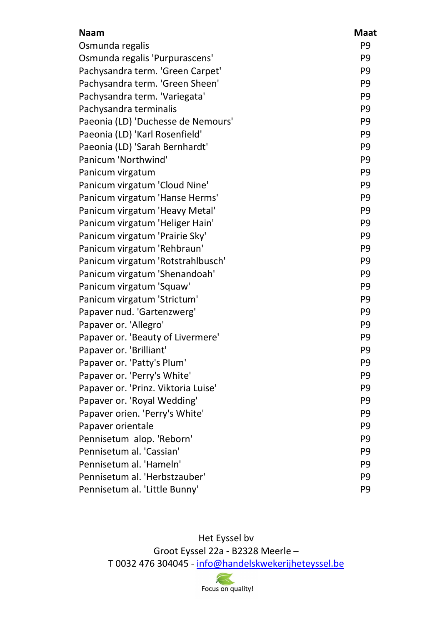| <b>Naam</b>                         | <b>Maat</b>    |
|-------------------------------------|----------------|
| Osmunda regalis                     | P <sub>9</sub> |
| Osmunda regalis 'Purpurascens'      | P <sub>9</sub> |
| Pachysandra term. 'Green Carpet'    | P <sub>9</sub> |
| Pachysandra term. 'Green Sheen'     | P <sub>9</sub> |
| Pachysandra term. 'Variegata'       | P <sub>9</sub> |
| Pachysandra terminalis              | P <sub>9</sub> |
| Paeonia (LD) 'Duchesse de Nemours'  | P <sub>9</sub> |
| Paeonia (LD) 'Karl Rosenfield'      | P <sub>9</sub> |
| Paeonia (LD) 'Sarah Bernhardt'      | P <sub>9</sub> |
| Panicum 'Northwind'                 | P <sub>9</sub> |
| Panicum virgatum                    | P <sub>9</sub> |
| Panicum virgatum 'Cloud Nine'       | P <sub>9</sub> |
| Panicum virgatum 'Hanse Herms'      | P <sub>9</sub> |
| Panicum virgatum 'Heavy Metal'      | P <sub>9</sub> |
| Panicum virgatum 'Heliger Hain'     | P <sub>9</sub> |
| Panicum virgatum 'Prairie Sky'      | P <sub>9</sub> |
| Panicum virgatum 'Rehbraun'         | P <sub>9</sub> |
| Panicum virgatum 'Rotstrahlbusch'   | P <sub>9</sub> |
| Panicum virgatum 'Shenandoah'       | P <sub>9</sub> |
| Panicum virgatum 'Squaw'            | P <sub>9</sub> |
| Panicum virgatum 'Strictum'         | P <sub>9</sub> |
| Papaver nud. 'Gartenzwerg'          | P <sub>9</sub> |
| Papaver or. 'Allegro'               | P <sub>9</sub> |
| Papaver or. 'Beauty of Livermere'   | P <sub>9</sub> |
| Papaver or. 'Brilliant'             | P <sub>9</sub> |
| Papaver or. 'Patty's Plum'          | P <sub>9</sub> |
| Papaver or. 'Perry's White'         | P <sub>9</sub> |
| Papaver or. 'Prinz. Viktoria Luise' | P <sub>9</sub> |
| Papaver or. 'Royal Wedding'         | P <sub>9</sub> |
| Papaver orien. 'Perry's White'      | P <sub>9</sub> |
| Papaver orientale                   | P <sub>9</sub> |
| Pennisetum alop. 'Reborn'           | P <sub>9</sub> |
| Pennisetum al. 'Cassian'            | P <sub>9</sub> |
| Pennisetum al. 'Hameln'             | P <sub>9</sub> |
| Pennisetum al. 'Herbstzauber'       | P <sub>9</sub> |
| Pennisetum al. 'Little Bunny'       | P <sub>9</sub> |

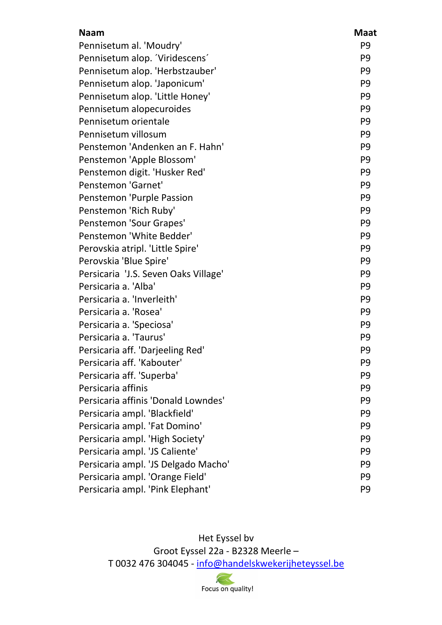| <b>Naam</b>                          | <b>Maat</b>    |
|--------------------------------------|----------------|
| Pennisetum al. 'Moudry'              | P <sub>9</sub> |
| Pennisetum alop. Viridescens         | P <sub>9</sub> |
| Pennisetum alop. 'Herbstzauber'      | P <sub>9</sub> |
| Pennisetum alop. 'Japonicum'         | P <sub>9</sub> |
| Pennisetum alop. 'Little Honey'      | P <sub>9</sub> |
| Pennisetum alopecuroides             | P <sub>9</sub> |
| Pennisetum orientale                 | P <sub>9</sub> |
| Pennisetum villosum                  | P <sub>9</sub> |
| Penstemon 'Andenken an F. Hahn'      | P <sub>9</sub> |
| Penstemon 'Apple Blossom'            | P <sub>9</sub> |
| Penstemon digit. 'Husker Red'        | P <sub>9</sub> |
| Penstemon 'Garnet'                   | P <sub>9</sub> |
| Penstemon 'Purple Passion            | P <sub>9</sub> |
| Penstemon 'Rich Ruby'                | P <sub>9</sub> |
| Penstemon 'Sour Grapes'              | P <sub>9</sub> |
| Penstemon 'White Bedder'             | P <sub>9</sub> |
| Perovskia atripl. 'Little Spire'     | P <sub>9</sub> |
| Perovskia 'Blue Spire'               | P <sub>9</sub> |
| Persicaria 'J.S. Seven Oaks Village' | P <sub>9</sub> |
| Persicaria a. 'Alba'                 | P <sub>9</sub> |
| Persicaria a. 'Inverleith'           | P <sub>9</sub> |
| Persicaria a. 'Rosea'                | P <sub>9</sub> |
| Persicaria a. 'Speciosa'             | P <sub>9</sub> |
| Persicaria a. 'Taurus'               | P <sub>9</sub> |
| Persicaria aff. 'Darjeeling Red'     | P <sub>9</sub> |
| Persicaria aff. 'Kabouter'           | P9             |
| Persicaria aff. 'Superba'            | P <sub>9</sub> |
| Persicaria affinis                   | P <sub>9</sub> |
| Persicaria affinis 'Donald Lowndes'  | P <sub>9</sub> |
| Persicaria ampl. 'Blackfield'        | P <sub>9</sub> |
| Persicaria ampl. 'Fat Domino'        | P <sub>9</sub> |
| Persicaria ampl. 'High Society'      | P <sub>9</sub> |
| Persicaria ampl. 'JS Caliente'       | P <sub>9</sub> |
| Persicaria ampl. 'JS Delgado Macho'  | P <sub>9</sub> |
| Persicaria ampl. 'Orange Field'      | P <sub>9</sub> |
| Persicaria ampl. 'Pink Elephant'     | P <sub>9</sub> |

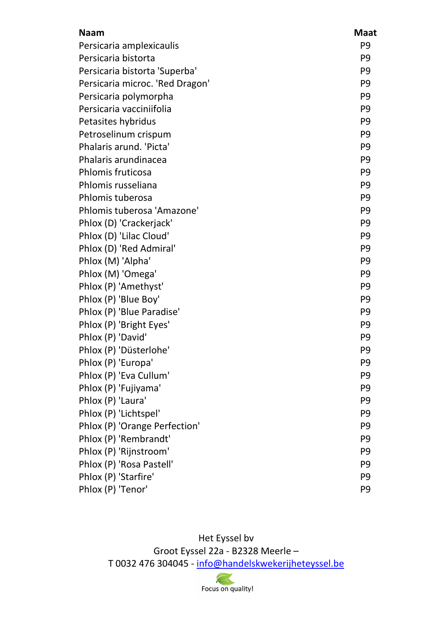| <b>Naam</b>                     | <b>Maat</b>    |
|---------------------------------|----------------|
| Persicaria amplexicaulis        | P <sub>9</sub> |
| Persicaria bistorta             | P <sub>9</sub> |
| Persicaria bistorta 'Superba'   | P <sub>9</sub> |
| Persicaria microc. 'Red Dragon' | P <sub>9</sub> |
| Persicaria polymorpha           | P <sub>9</sub> |
| Persicaria vacciniifolia        | P <sub>9</sub> |
| Petasites hybridus              | P <sub>9</sub> |
| Petroselinum crispum            | P <sub>9</sub> |
| Phalaris arund. 'Picta'         | P <sub>9</sub> |
| Phalaris arundinacea            | P <sub>9</sub> |
| Phlomis fruticosa               | P <sub>9</sub> |
| Phlomis russeliana              | P <sub>9</sub> |
| Phlomis tuberosa                | P <sub>9</sub> |
| Phlomis tuberosa 'Amazone'      | P <sub>9</sub> |
| Phlox (D) 'Crackerjack'         | P <sub>9</sub> |
| Phlox (D) 'Lilac Cloud'         | P <sub>9</sub> |
| Phlox (D) 'Red Admiral'         | P <sub>9</sub> |
| Phlox (M) 'Alpha'               | P <sub>9</sub> |
| Phlox (M) 'Omega'               | P <sub>9</sub> |
| Phlox (P) 'Amethyst'            | P <sub>9</sub> |
| Phlox (P) 'Blue Boy'            | P <sub>9</sub> |
| Phlox (P) 'Blue Paradise'       | P <sub>9</sub> |
| Phlox (P) 'Bright Eyes'         | P <sub>9</sub> |
| Phlox (P) 'David'               | P <sub>9</sub> |
| Phlox (P) 'Düsterlohe'          | P <sub>9</sub> |
| Phlox (P) 'Europa'              | P <sub>9</sub> |
| Phlox (P) 'Eva Cullum'          | P <sub>9</sub> |
| Phlox (P) 'Fujiyama'            | P <sub>9</sub> |
| Phlox (P) 'Laura'               | P <sub>9</sub> |
| Phlox (P) 'Lichtspel'           | P <sub>9</sub> |
| Phlox (P) 'Orange Perfection'   | P <sub>9</sub> |
| Phlox (P) 'Rembrandt'           | P <sub>9</sub> |
| Phlox (P) 'Rijnstroom'          | P <sub>9</sub> |
| Phlox (P) 'Rosa Pastell'        | P <sub>9</sub> |
| Phlox (P) 'Starfire'            | P <sub>9</sub> |
| Phlox (P) 'Tenor'               | P <sub>9</sub> |

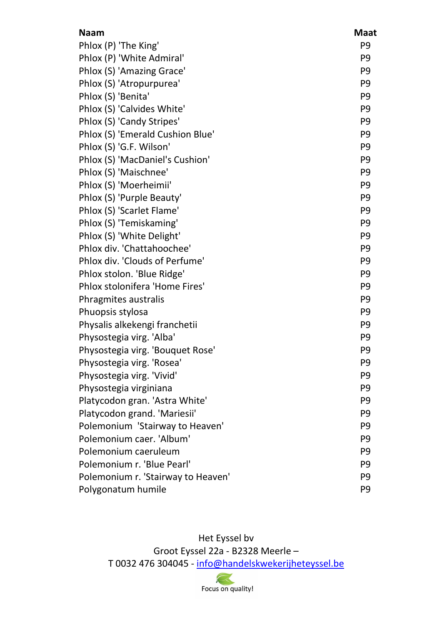| <b>Naam</b>                        | <b>Maat</b>    |
|------------------------------------|----------------|
| Phlox (P) 'The King'               | P <sub>9</sub> |
| Phlox (P) 'White Admiral'          | P <sub>9</sub> |
| Phlox (S) 'Amazing Grace'          | P <sub>9</sub> |
| Phlox (S) 'Atropurpurea'           | P <sub>9</sub> |
| Phlox (S) 'Benita'                 | P <sub>9</sub> |
| Phlox (S) 'Calvides White'         | P <sub>9</sub> |
| Phlox (S) 'Candy Stripes'          | P <sub>9</sub> |
| Phlox (S) 'Emerald Cushion Blue'   | P <sub>9</sub> |
| Phlox (S) 'G.F. Wilson'            | P <sub>9</sub> |
| Phlox (S) 'MacDaniel's Cushion'    | P <sub>9</sub> |
| Phlox (S) 'Maischnee'              | P <sub>9</sub> |
| Phlox (S) 'Moerheimii'             | P <sub>9</sub> |
| Phlox (S) 'Purple Beauty'          | P <sub>9</sub> |
| Phlox (S) 'Scarlet Flame'          | P <sub>9</sub> |
| Phlox (S) 'Temiskaming'            | P <sub>9</sub> |
| Phlox (S) 'White Delight'          | P <sub>9</sub> |
| Phlox div. 'Chattahoochee'         | P <sub>9</sub> |
| Phlox div. 'Clouds of Perfume'     | P <sub>9</sub> |
| Phlox stolon. 'Blue Ridge'         | P <sub>9</sub> |
| Phlox stolonifera 'Home Fires'     | P <sub>9</sub> |
| Phragmites australis               | P <sub>9</sub> |
| Phuopsis stylosa                   | P <sub>9</sub> |
| Physalis alkekengi franchetii      | P <sub>9</sub> |
| Physostegia virg. 'Alba'           | P <sub>9</sub> |
| Physostegia virg. 'Bouquet Rose'   | P <sub>9</sub> |
| Physostegia virg. 'Rosea'          | P <sub>9</sub> |
| Physostegia virg. 'Vivid'          | P <sub>9</sub> |
| Physostegia virginiana             | P <sub>9</sub> |
| Platycodon gran. 'Astra White'     | P <sub>9</sub> |
| Platycodon grand. 'Mariesii'       | P <sub>9</sub> |
| Polemonium 'Stairway to Heaven'    | P <sub>9</sub> |
| Polemonium caer. 'Album'           | P <sub>9</sub> |
| Polemonium caeruleum               | P <sub>9</sub> |
| Polemonium r. 'Blue Pearl'         | P <sub>9</sub> |
| Polemonium r. 'Stairway to Heaven' | P <sub>9</sub> |
| Polygonatum humile                 | P <sub>9</sub> |

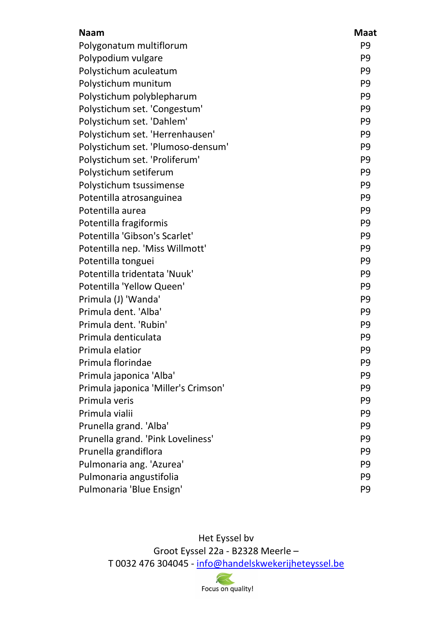| <b>Naam</b>                         | <b>Maat</b>    |
|-------------------------------------|----------------|
| Polygonatum multiflorum             | P <sub>9</sub> |
| Polypodium vulgare                  | P <sub>9</sub> |
| Polystichum aculeatum               | P <sub>9</sub> |
| Polystichum munitum                 | P <sub>9</sub> |
| Polystichum polyblepharum           | P <sub>9</sub> |
| Polystichum set. 'Congestum'        | P <sub>9</sub> |
| Polystichum set. 'Dahlem'           | P <sub>9</sub> |
| Polystichum set. 'Herrenhausen'     | P <sub>9</sub> |
| Polystichum set. 'Plumoso-densum'   | P <sub>9</sub> |
| Polystichum set. 'Proliferum'       | P <sub>9</sub> |
| Polystichum setiferum               | P <sub>9</sub> |
| Polystichum tsussimense             | P <sub>9</sub> |
| Potentilla atrosanguinea            | P <sub>9</sub> |
| Potentilla aurea                    | P <sub>9</sub> |
| Potentilla fragiformis              | P <sub>9</sub> |
| Potentilla 'Gibson's Scarlet'       | P <sub>9</sub> |
| Potentilla nep. 'Miss Willmott'     | P <sub>9</sub> |
| Potentilla tonguei                  | P <sub>9</sub> |
| Potentilla tridentata 'Nuuk'        | P <sub>9</sub> |
| Potentilla 'Yellow Queen'           | P <sub>9</sub> |
| Primula (J) 'Wanda'                 | P <sub>9</sub> |
| Primula dent. 'Alba'                | P <sub>9</sub> |
| Primula dent. 'Rubin'               | P <sub>9</sub> |
| Primula denticulata                 | P <sub>9</sub> |
| Primula elatior                     | P <sub>9</sub> |
| Primula florindae                   | P <sub>9</sub> |
| Primula japonica 'Alba'             | P <sub>9</sub> |
| Primula japonica 'Miller's Crimson' | P <sub>9</sub> |
| Primula veris                       | P <sub>9</sub> |
| Primula vialii                      | P <sub>9</sub> |
| Prunella grand. 'Alba'              | P <sub>9</sub> |
| Prunella grand. 'Pink Loveliness'   | P <sub>9</sub> |
| Prunella grandiflora                | P <sub>9</sub> |
| Pulmonaria ang. 'Azurea'            | P <sub>9</sub> |
| Pulmonaria angustifolia             | P <sub>9</sub> |
| Pulmonaria 'Blue Ensign'            | P <sub>9</sub> |

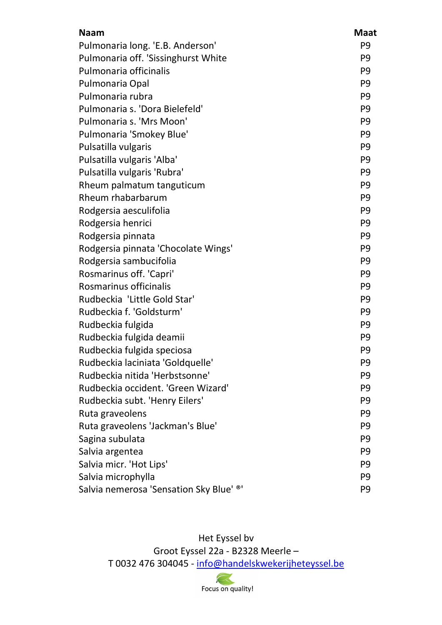| <b>Naam</b>                             | <b>Maat</b>    |
|-----------------------------------------|----------------|
| Pulmonaria long. 'E.B. Anderson'        | P <sub>9</sub> |
| Pulmonaria off. 'Sissinghurst White     | P <sub>9</sub> |
| Pulmonaria officinalis                  | P <sub>9</sub> |
| Pulmonaria Opal                         | P <sub>9</sub> |
| Pulmonaria rubra                        | P <sub>9</sub> |
| Pulmonaria s. 'Dora Bielefeld'          | P <sub>9</sub> |
| Pulmonaria s. 'Mrs Moon'                | P <sub>9</sub> |
| Pulmonaria 'Smokey Blue'                | P <sub>9</sub> |
| Pulsatilla vulgaris                     | P <sub>9</sub> |
| Pulsatilla vulgaris 'Alba'              | P <sub>9</sub> |
| Pulsatilla vulgaris 'Rubra'             | P <sub>9</sub> |
| Rheum palmatum tanguticum               | P <sub>9</sub> |
| Rheum rhabarbarum                       | P <sub>9</sub> |
| Rodgersia aesculifolia                  | P <sub>9</sub> |
| Rodgersia henrici                       | P <sub>9</sub> |
| Rodgersia pinnata                       | P <sub>9</sub> |
| Rodgersia pinnata 'Chocolate Wings'     | P <sub>9</sub> |
| Rodgersia sambucifolia                  | P <sub>9</sub> |
| Rosmarinus off. 'Capri'                 | P <sub>9</sub> |
| Rosmarinus officinalis                  | P <sub>9</sub> |
| Rudbeckia 'Little Gold Star'            | P <sub>9</sub> |
| Rudbeckia f. 'Goldsturm'                | P <sub>9</sub> |
| Rudbeckia fulgida                       | P <sub>9</sub> |
| Rudbeckia fulgida deamii                | P <sub>9</sub> |
| Rudbeckia fulgida speciosa              | P <sub>9</sub> |
| Rudbeckia laciniata 'Goldquelle'        | P9             |
| Rudbeckia nitida 'Herbstsonne'          | P <sub>9</sub> |
| Rudbeckia occident. 'Green Wizard'      | P <sub>9</sub> |
| Rudbeckia subt. 'Henry Eilers'          | P <sub>9</sub> |
| Ruta graveolens                         | P <sub>9</sub> |
| Ruta graveolens 'Jackman's Blue'        | P <sub>9</sub> |
| Sagina subulata                         | P <sub>9</sub> |
| Salvia argentea                         | P <sub>9</sub> |
| Salvia micr. 'Hot Lips'                 | P <sub>9</sub> |
| Salvia microphylla                      | P <sub>9</sub> |
| Salvia nemerosa 'Sensation Sky Blue' ®' | P <sub>9</sub> |

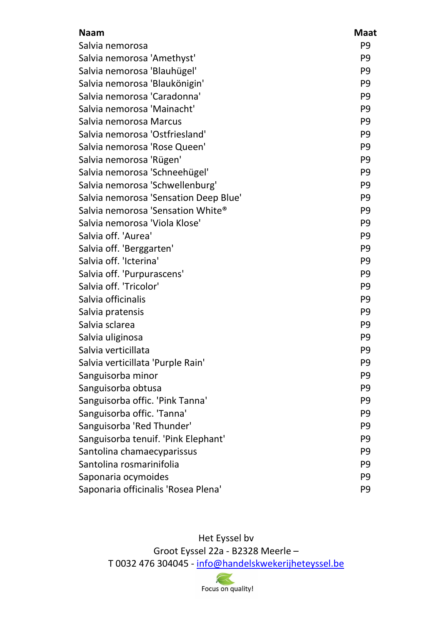| <b>Naam</b>                           | <b>Maat</b>    |
|---------------------------------------|----------------|
| Salvia nemorosa                       | P <sub>9</sub> |
| Salvia nemorosa 'Amethyst'            | P <sub>9</sub> |
| Salvia nemorosa 'Blauhügel'           | P <sub>9</sub> |
| Salvia nemorosa 'Blaukönigin'         | P <sub>9</sub> |
| Salvia nemorosa 'Caradonna'           | P <sub>9</sub> |
| Salvia nemorosa 'Mainacht'            | P <sub>9</sub> |
| Salvia nemorosa Marcus                | P <sub>9</sub> |
| Salvia nemorosa 'Ostfriesland'        | P <sub>9</sub> |
| Salvia nemorosa 'Rose Queen'          | P <sub>9</sub> |
| Salvia nemorosa 'Rügen'               | P <sub>9</sub> |
| Salvia nemorosa 'Schneehügel'         | P <sub>9</sub> |
| Salvia nemorosa 'Schwellenburg'       | P <sub>9</sub> |
| Salvia nemorosa 'Sensation Deep Blue' | P <sub>9</sub> |
| Salvia nemorosa 'Sensation White®     | P <sub>9</sub> |
| Salvia nemorosa 'Viola Klose'         | P <sub>9</sub> |
| Salvia off. 'Aurea'                   | P <sub>9</sub> |
| Salvia off. 'Berggarten'              | P <sub>9</sub> |
| Salvia off. 'Icterina'                | P <sub>9</sub> |
| Salvia off. 'Purpurascens'            | P <sub>9</sub> |
| Salvia off. 'Tricolor'                | P <sub>9</sub> |
| Salvia officinalis                    | P <sub>9</sub> |
| Salvia pratensis                      | P <sub>9</sub> |
| Salvia sclarea                        | P <sub>9</sub> |
| Salvia uliginosa                      | P <sub>9</sub> |
| Salvia verticillata                   | P <sub>9</sub> |
| Salvia verticillata 'Purple Rain'     | P <sub>9</sub> |
| Sanguisorba minor                     | P <sub>9</sub> |
| Sanguisorba obtusa                    | P <sub>9</sub> |
| Sanguisorba offic. 'Pink Tanna'       | P <sub>9</sub> |
| Sanguisorba offic. 'Tanna'            | P <sub>9</sub> |
| Sanguisorba 'Red Thunder'             | P <sub>9</sub> |
| Sanguisorba tenuif. 'Pink Elephant'   | P <sub>9</sub> |
| Santolina chamaecyparissus            | P <sub>9</sub> |
| Santolina rosmarinifolia              | P <sub>9</sub> |
| Saponaria ocymoides                   | P <sub>9</sub> |
| Saponaria officinalis 'Rosea Plena'   | P <sub>9</sub> |

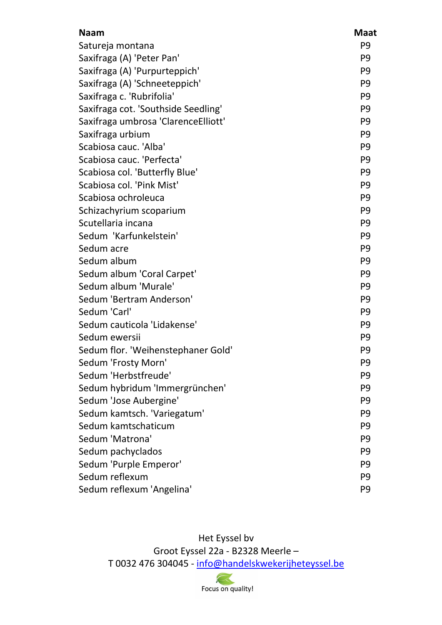| <b>Naam</b>                          | <b>Maat</b>    |
|--------------------------------------|----------------|
| Satureja montana                     | P <sub>9</sub> |
| Saxifraga (A) 'Peter Pan'            | P <sub>9</sub> |
| Saxifraga (A) 'Purpurteppich'        | P <sub>9</sub> |
| Saxifraga (A) 'Schneeteppich'        | P <sub>9</sub> |
| Saxifraga c. 'Rubrifolia'            | P <sub>9</sub> |
| Saxifraga cot. 'Southside Seedling'  | P <sub>9</sub> |
| Saxifraga umbrosa 'Clarence Elliott' | P <sub>9</sub> |
| Saxifraga urbium                     | P <sub>9</sub> |
| Scabiosa cauc. 'Alba'                | P <sub>9</sub> |
| Scabiosa cauc. 'Perfecta'            | P <sub>9</sub> |
| Scabiosa col. 'Butterfly Blue'       | P <sub>9</sub> |
| Scabiosa col. 'Pink Mist'            | P <sub>9</sub> |
| Scabiosa ochroleuca                  | P <sub>9</sub> |
| Schizachyrium scoparium              | P <sub>9</sub> |
| Scutellaria incana                   | P <sub>9</sub> |
| Sedum 'Karfunkelstein'               | P <sub>9</sub> |
| Sedum acre                           | P <sub>9</sub> |
| Sedum album                          | P <sub>9</sub> |
| Sedum album 'Coral Carpet'           | P <sub>9</sub> |
| Sedum album 'Murale'                 | P <sub>9</sub> |
| Sedum 'Bertram Anderson'             | P <sub>9</sub> |
| Sedum 'Carl'                         | P <sub>9</sub> |
| Sedum cauticola 'Lidakense'          | P <sub>9</sub> |
| Sedum ewersii                        | P <sub>9</sub> |
| Sedum flor. 'Weihenstephaner Gold'   | P <sub>9</sub> |
| Sedum 'Frosty Morn'                  | P <sub>9</sub> |
| Sedum 'Herbstfreude'                 | P <sub>9</sub> |
| Sedum hybridum 'Immergrünchen'       | P <sub>9</sub> |
| Sedum 'Jose Aubergine'               | P <sub>9</sub> |
| Sedum kamtsch. 'Variegatum'          | P <sub>9</sub> |
| Sedum kamtschaticum                  | P <sub>9</sub> |
| Sedum 'Matrona'                      | P <sub>9</sub> |
| Sedum pachyclados                    | P <sub>9</sub> |
| Sedum 'Purple Emperor'               | P <sub>9</sub> |
| Sedum reflexum                       | P <sub>9</sub> |
| Sedum reflexum 'Angelina'            | P <sub>9</sub> |

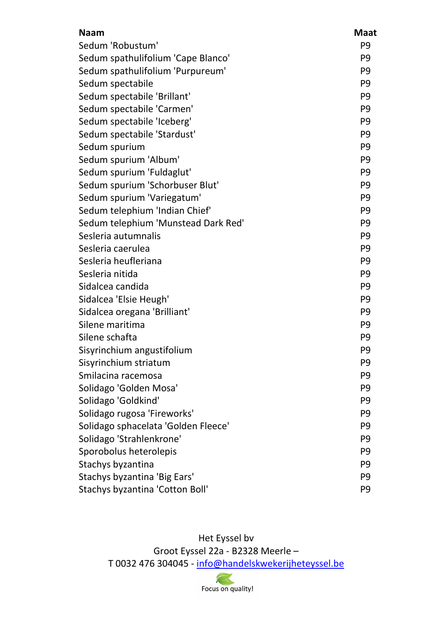| <b>Naam</b>                         | <b>Maat</b>    |
|-------------------------------------|----------------|
| Sedum 'Robustum'                    | P <sub>9</sub> |
| Sedum spathulifolium 'Cape Blanco'  | P <sub>9</sub> |
| Sedum spathulifolium 'Purpureum'    | P <sub>9</sub> |
| Sedum spectabile                    | P <sub>9</sub> |
| Sedum spectabile 'Brillant'         | P <sub>9</sub> |
| Sedum spectabile 'Carmen'           | P <sub>9</sub> |
| Sedum spectabile 'Iceberg'          | P <sub>9</sub> |
| Sedum spectabile 'Stardust'         | P <sub>9</sub> |
| Sedum spurium                       | P <sub>9</sub> |
| Sedum spurium 'Album'               | P <sub>9</sub> |
| Sedum spurium 'Fuldaglut'           | P <sub>9</sub> |
| Sedum spurium 'Schorbuser Blut'     | P <sub>9</sub> |
| Sedum spurium 'Variegatum'          | P <sub>9</sub> |
| Sedum telephium 'Indian Chief'      | P <sub>9</sub> |
| Sedum telephium 'Munstead Dark Red' | P <sub>9</sub> |
| Sesleria autumnalis                 | P <sub>9</sub> |
| Sesleria caerulea                   | P <sub>9</sub> |
| Sesleria heufleriana                | P <sub>9</sub> |
| Sesleria nitida                     | P <sub>9</sub> |
| Sidalcea candida                    | P <sub>9</sub> |
| Sidalcea 'Elsie Heugh'              | P <sub>9</sub> |
| Sidalcea oregana 'Brilliant'        | P <sub>9</sub> |
| Silene maritima                     | P <sub>9</sub> |
| Silene schafta                      | P <sub>9</sub> |
| Sisyrinchium angustifolium          | P <sub>9</sub> |
| Sisyrinchium striatum               | P <sub>9</sub> |
| Smilacina racemosa                  | P <sub>9</sub> |
| Solidago 'Golden Mosa'              | P <sub>9</sub> |
| Solidago 'Goldkind'                 | P <sub>9</sub> |
| Solidago rugosa 'Fireworks'         | P <sub>9</sub> |
| Solidago sphacelata 'Golden Fleece' | P <sub>9</sub> |
| Solidago 'Strahlenkrone'            | P <sub>9</sub> |
| Sporobolus heterolepis              | P <sub>9</sub> |
| Stachys byzantina                   | P <sub>9</sub> |
| Stachys byzantina 'Big Ears'        | P <sub>9</sub> |
| Stachys byzantina 'Cotton Boll'     | P <sub>9</sub> |

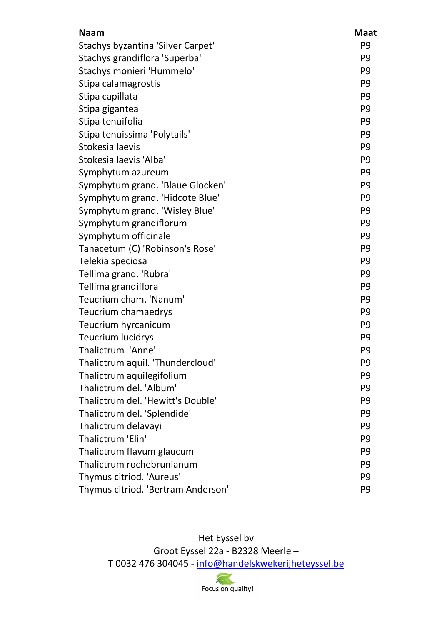| <b>Naam</b>                        | <b>Maat</b>    |
|------------------------------------|----------------|
| Stachys byzantina 'Silver Carpet'  | P <sub>9</sub> |
| Stachys grandiflora 'Superba'      | P <sub>9</sub> |
| Stachys monieri 'Hummelo'          | P <sub>9</sub> |
| Stipa calamagrostis                | P <sub>9</sub> |
| Stipa capillata                    | P <sub>9</sub> |
| Stipa gigantea                     | P <sub>9</sub> |
| Stipa tenuifolia                   | P <sub>9</sub> |
| Stipa tenuissima 'Polytails'       | P <sub>9</sub> |
| Stokesia laevis                    | P <sub>9</sub> |
| Stokesia laevis 'Alba'             | P <sub>9</sub> |
| Symphytum azureum                  | P <sub>9</sub> |
| Symphytum grand. 'Blaue Glocken'   | P <sub>9</sub> |
| Symphytum grand. 'Hidcote Blue'    | P <sub>9</sub> |
| Symphytum grand. 'Wisley Blue'     | P <sub>9</sub> |
| Symphytum grandiflorum             | P <sub>9</sub> |
| Symphytum officinale               | P <sub>9</sub> |
| Tanacetum (C) 'Robinson's Rose'    | P <sub>9</sub> |
| Telekia speciosa                   | P <sub>9</sub> |
| Tellima grand. 'Rubra'             | P <sub>9</sub> |
| Tellima grandiflora                | P <sub>9</sub> |
| Teucrium cham. 'Nanum'             | P <sub>9</sub> |
| Teucrium chamaedrys                | P <sub>9</sub> |
| Teucrium hyrcanicum                | P <sub>9</sub> |
| <b>Teucrium lucidrys</b>           | P <sub>9</sub> |
| Thalictrum 'Anne'                  | P <sub>9</sub> |
| Thalictrum aquil. 'Thundercloud'   | P <sub>9</sub> |
| Thalictrum aquilegifolium          | P <sub>9</sub> |
| Thalictrum del. 'Album'            | P <sub>9</sub> |
| Thalictrum del. 'Hewitt's Double'  | P <sub>9</sub> |
| Thalictrum del. 'Splendide'        | P <sub>9</sub> |
| Thalictrum delavayi                | P <sub>9</sub> |
| Thalictrum 'Elin'                  | P <sub>9</sub> |
| Thalictrum flavum glaucum          | P <sub>9</sub> |
| Thalictrum rochebrunianum          | P <sub>9</sub> |
| Thymus citriod. 'Aureus'           | P <sub>9</sub> |
| Thymus citriod. 'Bertram Anderson' | P <sub>9</sub> |

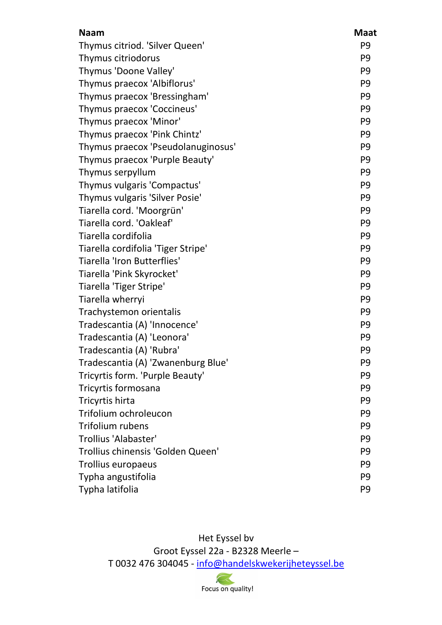| <b>Naam</b>                        | <b>Maat</b>    |
|------------------------------------|----------------|
| Thymus citriod. 'Silver Queen'     | P <sub>9</sub> |
| Thymus citriodorus                 | P <sub>9</sub> |
| Thymus 'Doone Valley'              | P <sub>9</sub> |
| Thymus praecox 'Albiflorus'        | P <sub>9</sub> |
| Thymus praecox 'Bressingham'       | P <sub>9</sub> |
| Thymus praecox 'Coccineus'         | P <sub>9</sub> |
| Thymus praecox 'Minor'             | P <sub>9</sub> |
| Thymus praecox 'Pink Chintz'       | P <sub>9</sub> |
| Thymus praecox 'Pseudolanuginosus' | P <sub>9</sub> |
| Thymus praecox 'Purple Beauty'     | P <sub>9</sub> |
| Thymus serpyllum                   | P <sub>9</sub> |
| Thymus vulgaris 'Compactus'        | P <sub>9</sub> |
| Thymus vulgaris 'Silver Posie'     | P <sub>9</sub> |
| Tiarella cord. 'Moorgrün'          | P <sub>9</sub> |
| Tiarella cord. 'Oakleaf'           | P <sub>9</sub> |
| Tiarella cordifolia                | P <sub>9</sub> |
| Tiarella cordifolia 'Tiger Stripe' | P <sub>9</sub> |
| Tiarella 'Iron Butterflies'        | P <sub>9</sub> |
| Tiarella 'Pink Skyrocket'          | P <sub>9</sub> |
| Tiarella 'Tiger Stripe'            | P <sub>9</sub> |
| Tiarella wherryi                   | P <sub>9</sub> |
| Trachystemon orientalis            | P <sub>9</sub> |
| Tradescantia (A) 'Innocence'       | P <sub>9</sub> |
| Tradescantia (A) 'Leonora'         | P <sub>9</sub> |
| Tradescantia (A) 'Rubra'           | P <sub>9</sub> |
| Tradescantia (A) 'Zwanenburg Blue' | P9             |
| Tricyrtis form. 'Purple Beauty'    | P <sub>9</sub> |
| Tricyrtis formosana                | P <sub>9</sub> |
| Tricyrtis hirta                    | P <sub>9</sub> |
| Trifolium ochroleucon              | P <sub>9</sub> |
| <b>Trifolium rubens</b>            | P <sub>9</sub> |
| <b>Trollius 'Alabaster'</b>        | P <sub>9</sub> |
| Trollius chinensis 'Golden Queen'  | P <sub>9</sub> |
| Trollius europaeus                 | P <sub>9</sub> |
| Typha angustifolia                 | P <sub>9</sub> |
| Typha latifolia                    | P <sub>9</sub> |

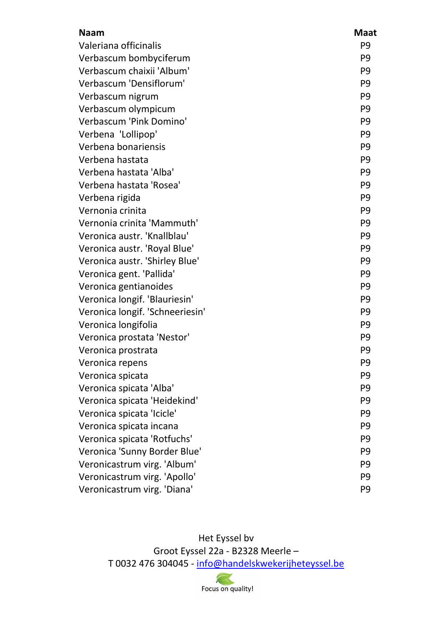| <b>Naam</b>                     | <b>Maat</b>    |
|---------------------------------|----------------|
| Valeriana officinalis           | P <sub>9</sub> |
| Verbascum bombyciferum          | P <sub>9</sub> |
| Verbascum chaixii 'Album'       | P <sub>9</sub> |
| Verbascum 'Densiflorum'         | P <sub>9</sub> |
| Verbascum nigrum                | P <sub>9</sub> |
| Verbascum olympicum             | P <sub>9</sub> |
| Verbascum 'Pink Domino'         | P <sub>9</sub> |
| Verbena 'Lollipop'              | P <sub>9</sub> |
| Verbena bonariensis             | P <sub>9</sub> |
| Verbena hastata                 | P <sub>9</sub> |
| Verbena hastata 'Alba'          | P <sub>9</sub> |
| Verbena hastata 'Rosea'         | P <sub>9</sub> |
| Verbena rigida                  | P <sub>9</sub> |
| Vernonia crinita                | P <sub>9</sub> |
| Vernonia crinita 'Mammuth'      | P <sub>9</sub> |
| Veronica austr. 'Knallblau'     | P <sub>9</sub> |
| Veronica austr. 'Royal Blue'    | P <sub>9</sub> |
| Veronica austr. 'Shirley Blue'  | P <sub>9</sub> |
| Veronica gent. 'Pallida'        | P <sub>9</sub> |
| Veronica gentianoides           | P <sub>9</sub> |
| Veronica longif. 'Blauriesin'   | P <sub>9</sub> |
| Veronica longif. 'Schneeriesin' | P <sub>9</sub> |
| Veronica longifolia             | P <sub>9</sub> |
| Veronica prostata 'Nestor'      | P <sub>9</sub> |
| Veronica prostrata              | P <sub>9</sub> |
| Veronica repens                 | P <sub>9</sub> |
| Veronica spicata                | P <sub>9</sub> |
| Veronica spicata 'Alba'         | P <sub>9</sub> |
| Veronica spicata 'Heidekind'    | P <sub>9</sub> |
| Veronica spicata 'Icicle'       | P <sub>9</sub> |
| Veronica spicata incana         | P <sub>9</sub> |
| Veronica spicata 'Rotfuchs'     | P <sub>9</sub> |
| Veronica 'Sunny Border Blue'    | P <sub>9</sub> |
| Veronicastrum virg. 'Album'     | P <sub>9</sub> |
| Veronicastrum virg. 'Apollo'    | P <sub>9</sub> |
| Veronicastrum virg. 'Diana'     | P <sub>9</sub> |